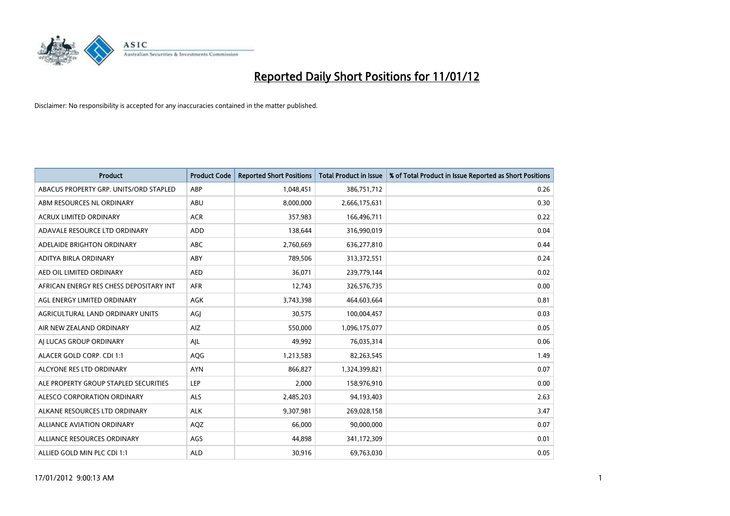

| <b>Product</b>                          | <b>Product Code</b> | <b>Reported Short Positions</b> | <b>Total Product in Issue</b> | % of Total Product in Issue Reported as Short Positions |
|-----------------------------------------|---------------------|---------------------------------|-------------------------------|---------------------------------------------------------|
| ABACUS PROPERTY GRP. UNITS/ORD STAPLED  | ABP                 | 1,048,451                       | 386,751,712                   | 0.26                                                    |
| ABM RESOURCES NL ORDINARY               | <b>ABU</b>          | 8,000,000                       | 2,666,175,631                 | 0.30                                                    |
| ACRUX LIMITED ORDINARY                  | <b>ACR</b>          | 357,983                         | 166,496,711                   | 0.22                                                    |
| ADAVALE RESOURCE LTD ORDINARY           | <b>ADD</b>          | 138,644                         | 316,990,019                   | 0.04                                                    |
| ADELAIDE BRIGHTON ORDINARY              | <b>ABC</b>          | 2,760,669                       | 636,277,810                   | 0.44                                                    |
| ADITYA BIRLA ORDINARY                   | ABY                 | 789,506                         | 313,372,551                   | 0.24                                                    |
| AED OIL LIMITED ORDINARY                | <b>AED</b>          | 36,071                          | 239,779,144                   | 0.02                                                    |
| AFRICAN ENERGY RES CHESS DEPOSITARY INT | <b>AFR</b>          | 12,743                          | 326,576,735                   | 0.00                                                    |
| AGL ENERGY LIMITED ORDINARY             | <b>AGK</b>          | 3,743,398                       | 464,603,664                   | 0.81                                                    |
| AGRICULTURAL LAND ORDINARY UNITS        | AGI                 | 30,575                          | 100,004,457                   | 0.03                                                    |
| AIR NEW ZEALAND ORDINARY                | AIZ                 | 550,000                         | 1,096,175,077                 | 0.05                                                    |
| AI LUCAS GROUP ORDINARY                 | AJL                 | 49,992                          | 76,035,314                    | 0.06                                                    |
| ALACER GOLD CORP. CDI 1:1               | <b>AQG</b>          | 1,213,583                       | 82,263,545                    | 1.49                                                    |
| ALCYONE RES LTD ORDINARY                | <b>AYN</b>          | 866,827                         | 1,324,399,821                 | 0.07                                                    |
| ALE PROPERTY GROUP STAPLED SECURITIES   | LEP                 | 2,000                           | 158,976,910                   | 0.00                                                    |
| ALESCO CORPORATION ORDINARY             | ALS                 | 2,485,203                       | 94,193,403                    | 2.63                                                    |
| ALKANE RESOURCES LTD ORDINARY           | <b>ALK</b>          | 9,307,981                       | 269,028,158                   | 3.47                                                    |
| ALLIANCE AVIATION ORDINARY              | AQZ                 | 66,000                          | 90,000,000                    | 0.07                                                    |
| ALLIANCE RESOURCES ORDINARY             | AGS                 | 44,898                          | 341,172,309                   | 0.01                                                    |
| ALLIED GOLD MIN PLC CDI 1:1             | <b>ALD</b>          | 30,916                          | 69,763,030                    | 0.05                                                    |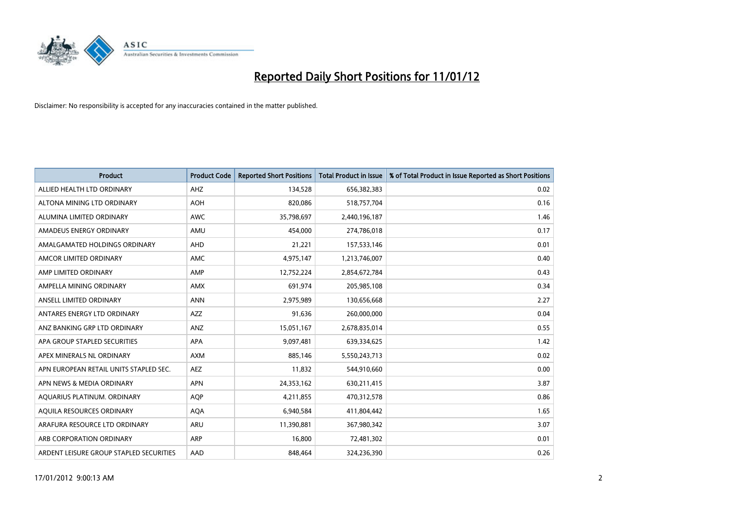

| <b>Product</b>                          | <b>Product Code</b> | <b>Reported Short Positions</b> | <b>Total Product in Issue</b> | % of Total Product in Issue Reported as Short Positions |
|-----------------------------------------|---------------------|---------------------------------|-------------------------------|---------------------------------------------------------|
| ALLIED HEALTH LTD ORDINARY              | AHZ                 | 134,528                         | 656,382,383                   | 0.02                                                    |
| ALTONA MINING LTD ORDINARY              | AOH                 | 820,086                         | 518,757,704                   | 0.16                                                    |
| ALUMINA LIMITED ORDINARY                | <b>AWC</b>          | 35,798,697                      | 2,440,196,187                 | 1.46                                                    |
| AMADEUS ENERGY ORDINARY                 | AMU                 | 454,000                         | 274,786,018                   | 0.17                                                    |
| AMALGAMATED HOLDINGS ORDINARY           | AHD                 | 21,221                          | 157,533,146                   | 0.01                                                    |
| AMCOR LIMITED ORDINARY                  | <b>AMC</b>          | 4,975,147                       | 1,213,746,007                 | 0.40                                                    |
| AMP LIMITED ORDINARY                    | AMP                 | 12,752,224                      | 2,854,672,784                 | 0.43                                                    |
| AMPELLA MINING ORDINARY                 | <b>AMX</b>          | 691,974                         | 205,985,108                   | 0.34                                                    |
| ANSELL LIMITED ORDINARY                 | <b>ANN</b>          | 2,975,989                       | 130,656,668                   | 2.27                                                    |
| ANTARES ENERGY LTD ORDINARY             | <b>AZZ</b>          | 91,636                          | 260,000,000                   | 0.04                                                    |
| ANZ BANKING GRP LTD ORDINARY            | ANZ                 | 15,051,167                      | 2,678,835,014                 | 0.55                                                    |
| APA GROUP STAPLED SECURITIES            | <b>APA</b>          | 9,097,481                       | 639,334,625                   | 1.42                                                    |
| APEX MINERALS NL ORDINARY               | <b>AXM</b>          | 885,146                         | 5,550,243,713                 | 0.02                                                    |
| APN EUROPEAN RETAIL UNITS STAPLED SEC.  | <b>AEZ</b>          | 11,832                          | 544,910,660                   | 0.00                                                    |
| APN NEWS & MEDIA ORDINARY               | <b>APN</b>          | 24,353,162                      | 630,211,415                   | 3.87                                                    |
| AQUARIUS PLATINUM. ORDINARY             | <b>AQP</b>          | 4,211,855                       | 470,312,578                   | 0.86                                                    |
| AQUILA RESOURCES ORDINARY               | <b>AQA</b>          | 6,940,584                       | 411,804,442                   | 1.65                                                    |
| ARAFURA RESOURCE LTD ORDINARY           | <b>ARU</b>          | 11,390,881                      | 367,980,342                   | 3.07                                                    |
| ARB CORPORATION ORDINARY                | ARP                 | 16.800                          | 72,481,302                    | 0.01                                                    |
| ARDENT LEISURE GROUP STAPLED SECURITIES | AAD                 | 848.464                         | 324,236,390                   | 0.26                                                    |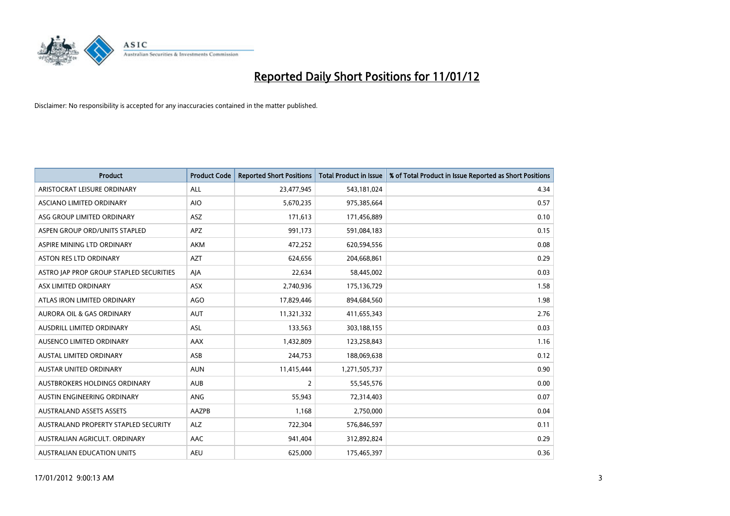

| <b>Product</b>                          | <b>Product Code</b> | <b>Reported Short Positions</b> | <b>Total Product in Issue</b> | % of Total Product in Issue Reported as Short Positions |
|-----------------------------------------|---------------------|---------------------------------|-------------------------------|---------------------------------------------------------|
| ARISTOCRAT LEISURE ORDINARY             | ALL                 | 23,477,945                      | 543,181,024                   | 4.34                                                    |
| <b>ASCIANO LIMITED ORDINARY</b>         | <b>AIO</b>          | 5,670,235                       | 975,385,664                   | 0.57                                                    |
| ASG GROUP LIMITED ORDINARY              | ASZ                 | 171,613                         | 171,456,889                   | 0.10                                                    |
| ASPEN GROUP ORD/UNITS STAPLED           | <b>APZ</b>          | 991,173                         | 591,084,183                   | 0.15                                                    |
| ASPIRE MINING LTD ORDINARY              | <b>AKM</b>          | 472,252                         | 620,594,556                   | 0.08                                                    |
| <b>ASTON RES LTD ORDINARY</b>           | <b>AZT</b>          | 624,656                         | 204,668,861                   | 0.29                                                    |
| ASTRO JAP PROP GROUP STAPLED SECURITIES | AIA                 | 22,634                          | 58,445,002                    | 0.03                                                    |
| ASX LIMITED ORDINARY                    | <b>ASX</b>          | 2,740,936                       | 175,136,729                   | 1.58                                                    |
| ATLAS IRON LIMITED ORDINARY             | <b>AGO</b>          | 17,829,446                      | 894,684,560                   | 1.98                                                    |
| <b>AURORA OIL &amp; GAS ORDINARY</b>    | <b>AUT</b>          | 11,321,332                      | 411,655,343                   | 2.76                                                    |
| <b>AUSDRILL LIMITED ORDINARY</b>        | <b>ASL</b>          | 133,563                         | 303,188,155                   | 0.03                                                    |
| <b>AUSENCO LIMITED ORDINARY</b>         | AAX                 | 1,432,809                       | 123,258,843                   | 1.16                                                    |
| <b>AUSTAL LIMITED ORDINARY</b>          | ASB                 | 244,753                         | 188,069,638                   | 0.12                                                    |
| <b>AUSTAR UNITED ORDINARY</b>           | <b>AUN</b>          | 11,415,444                      | 1,271,505,737                 | 0.90                                                    |
| AUSTBROKERS HOLDINGS ORDINARY           | <b>AUB</b>          | 2                               | 55,545,576                    | 0.00                                                    |
| AUSTIN ENGINEERING ORDINARY             | <b>ANG</b>          | 55,943                          | 72,314,403                    | 0.07                                                    |
| <b>AUSTRALAND ASSETS ASSETS</b>         | AAZPB               | 1,168                           | 2,750,000                     | 0.04                                                    |
| AUSTRALAND PROPERTY STAPLED SECURITY    | <b>ALZ</b>          | 722,304                         | 576,846,597                   | 0.11                                                    |
| AUSTRALIAN AGRICULT, ORDINARY           | AAC                 | 941,404                         | 312,892,824                   | 0.29                                                    |
| <b>AUSTRALIAN EDUCATION UNITS</b>       | <b>AEU</b>          | 625.000                         | 175,465,397                   | 0.36                                                    |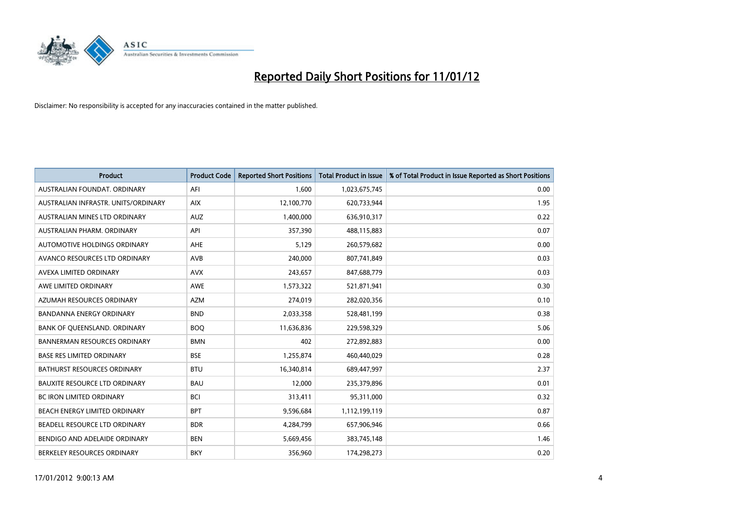

| <b>Product</b>                       | <b>Product Code</b> | <b>Reported Short Positions</b> | <b>Total Product in Issue</b> | % of Total Product in Issue Reported as Short Positions |
|--------------------------------------|---------------------|---------------------------------|-------------------------------|---------------------------------------------------------|
| AUSTRALIAN FOUNDAT, ORDINARY         | AFI                 | 1,600                           | 1,023,675,745                 | 0.00                                                    |
| AUSTRALIAN INFRASTR, UNITS/ORDINARY  | <b>AIX</b>          | 12,100,770                      | 620,733,944                   | 1.95                                                    |
| <b>AUSTRALIAN MINES LTD ORDINARY</b> | <b>AUZ</b>          | 1,400,000                       | 636,910,317                   | 0.22                                                    |
| AUSTRALIAN PHARM. ORDINARY           | API                 | 357,390                         | 488,115,883                   | 0.07                                                    |
| AUTOMOTIVE HOLDINGS ORDINARY         | AHE                 | 5,129                           | 260,579,682                   | 0.00                                                    |
| AVANCO RESOURCES LTD ORDINARY        | AVB                 | 240,000                         | 807,741,849                   | 0.03                                                    |
| AVEXA LIMITED ORDINARY               | <b>AVX</b>          | 243.657                         | 847,688,779                   | 0.03                                                    |
| AWE LIMITED ORDINARY                 | <b>AWE</b>          | 1,573,322                       | 521,871,941                   | 0.30                                                    |
| AZUMAH RESOURCES ORDINARY            | <b>AZM</b>          | 274,019                         | 282,020,356                   | 0.10                                                    |
| <b>BANDANNA ENERGY ORDINARY</b>      | <b>BND</b>          | 2,033,358                       | 528,481,199                   | 0.38                                                    |
| BANK OF QUEENSLAND. ORDINARY         | <b>BOQ</b>          | 11,636,836                      | 229,598,329                   | 5.06                                                    |
| <b>BANNERMAN RESOURCES ORDINARY</b>  | <b>BMN</b>          | 402                             | 272,892,883                   | 0.00                                                    |
| <b>BASE RES LIMITED ORDINARY</b>     | <b>BSE</b>          | 1,255,874                       | 460,440,029                   | 0.28                                                    |
| <b>BATHURST RESOURCES ORDINARY</b>   | <b>BTU</b>          | 16,340,814                      | 689,447,997                   | 2.37                                                    |
| <b>BAUXITE RESOURCE LTD ORDINARY</b> | <b>BAU</b>          | 12,000                          | 235,379,896                   | 0.01                                                    |
| <b>BC IRON LIMITED ORDINARY</b>      | <b>BCI</b>          | 313,411                         | 95,311,000                    | 0.32                                                    |
| BEACH ENERGY LIMITED ORDINARY        | <b>BPT</b>          | 9,596,684                       | 1,112,199,119                 | 0.87                                                    |
| BEADELL RESOURCE LTD ORDINARY        | <b>BDR</b>          | 4,284,799                       | 657,906,946                   | 0.66                                                    |
| BENDIGO AND ADELAIDE ORDINARY        | <b>BEN</b>          | 5,669,456                       | 383,745,148                   | 1.46                                                    |
| BERKELEY RESOURCES ORDINARY          | <b>BKY</b>          | 356.960                         | 174.298.273                   | 0.20                                                    |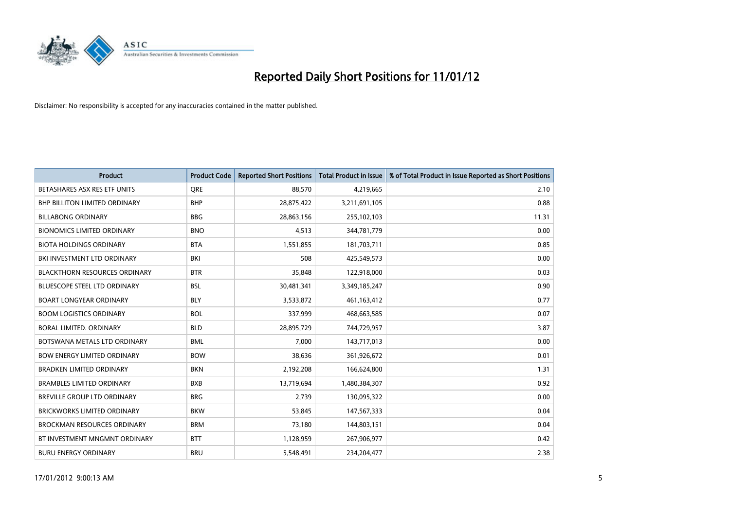

| <b>Product</b>                       | <b>Product Code</b> | <b>Reported Short Positions</b> | <b>Total Product in Issue</b> | % of Total Product in Issue Reported as Short Positions |
|--------------------------------------|---------------------|---------------------------------|-------------------------------|---------------------------------------------------------|
| BETASHARES ASX RES ETF UNITS         | <b>ORE</b>          | 88,570                          | 4,219,665                     | 2.10                                                    |
| <b>BHP BILLITON LIMITED ORDINARY</b> | <b>BHP</b>          | 28,875,422                      | 3,211,691,105                 | 0.88                                                    |
| <b>BILLABONG ORDINARY</b>            | <b>BBG</b>          | 28,863,156                      | 255,102,103                   | 11.31                                                   |
| <b>BIONOMICS LIMITED ORDINARY</b>    | <b>BNO</b>          | 4,513                           | 344,781,779                   | 0.00                                                    |
| <b>BIOTA HOLDINGS ORDINARY</b>       | <b>BTA</b>          | 1,551,855                       | 181,703,711                   | 0.85                                                    |
| BKI INVESTMENT LTD ORDINARY          | <b>BKI</b>          | 508                             | 425,549,573                   | 0.00                                                    |
| <b>BLACKTHORN RESOURCES ORDINARY</b> | <b>BTR</b>          | 35,848                          | 122,918,000                   | 0.03                                                    |
| <b>BLUESCOPE STEEL LTD ORDINARY</b>  | <b>BSL</b>          | 30,481,341                      | 3,349,185,247                 | 0.90                                                    |
| <b>BOART LONGYEAR ORDINARY</b>       | <b>BLY</b>          | 3,533,872                       | 461, 163, 412                 | 0.77                                                    |
| <b>BOOM LOGISTICS ORDINARY</b>       | <b>BOL</b>          | 337,999                         | 468,663,585                   | 0.07                                                    |
| <b>BORAL LIMITED, ORDINARY</b>       | <b>BLD</b>          | 28,895,729                      | 744,729,957                   | 3.87                                                    |
| BOTSWANA METALS LTD ORDINARY         | <b>BML</b>          | 7,000                           | 143,717,013                   | 0.00                                                    |
| <b>BOW ENERGY LIMITED ORDINARY</b>   | <b>BOW</b>          | 38.636                          | 361,926,672                   | 0.01                                                    |
| <b>BRADKEN LIMITED ORDINARY</b>      | <b>BKN</b>          | 2,192,208                       | 166,624,800                   | 1.31                                                    |
| <b>BRAMBLES LIMITED ORDINARY</b>     | <b>BXB</b>          | 13,719,694                      | 1,480,384,307                 | 0.92                                                    |
| <b>BREVILLE GROUP LTD ORDINARY</b>   | <b>BRG</b>          | 2,739                           | 130,095,322                   | 0.00                                                    |
| <b>BRICKWORKS LIMITED ORDINARY</b>   | <b>BKW</b>          | 53,845                          | 147,567,333                   | 0.04                                                    |
| <b>BROCKMAN RESOURCES ORDINARY</b>   | <b>BRM</b>          | 73,180                          | 144,803,151                   | 0.04                                                    |
| BT INVESTMENT MNGMNT ORDINARY        | <b>BTT</b>          | 1,128,959                       | 267,906,977                   | 0.42                                                    |
| <b>BURU ENERGY ORDINARY</b>          | <b>BRU</b>          | 5,548,491                       | 234.204.477                   | 2.38                                                    |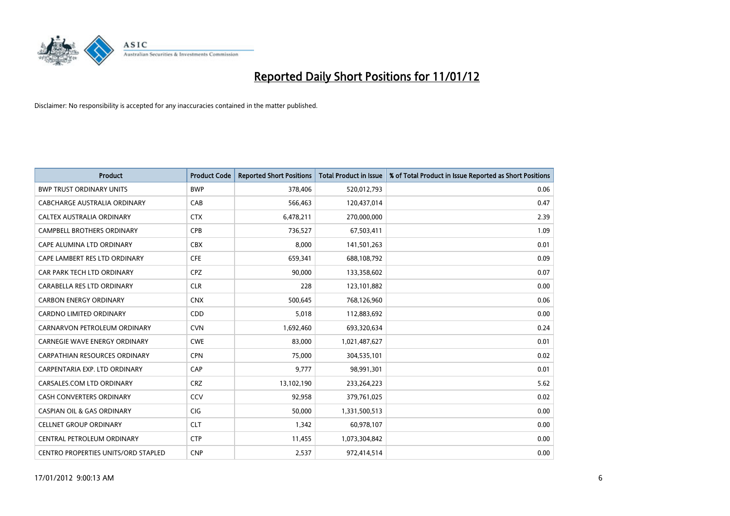

| <b>Product</b>                        | <b>Product Code</b> | <b>Reported Short Positions</b> | <b>Total Product in Issue</b> | % of Total Product in Issue Reported as Short Positions |
|---------------------------------------|---------------------|---------------------------------|-------------------------------|---------------------------------------------------------|
| <b>BWP TRUST ORDINARY UNITS</b>       | <b>BWP</b>          | 378,406                         | 520,012,793                   | 0.06                                                    |
| CABCHARGE AUSTRALIA ORDINARY          | CAB                 | 566,463                         | 120,437,014                   | 0.47                                                    |
| <b>CALTEX AUSTRALIA ORDINARY</b>      | <b>CTX</b>          | 6,478,211                       | 270,000,000                   | 2.39                                                    |
| CAMPBELL BROTHERS ORDINARY            | CPB                 | 736,527                         | 67,503,411                    | 1.09                                                    |
| CAPE ALUMINA LTD ORDINARY             | <b>CBX</b>          | 8,000                           | 141,501,263                   | 0.01                                                    |
| CAPE LAMBERT RES LTD ORDINARY         | <b>CFE</b>          | 659,341                         | 688,108,792                   | 0.09                                                    |
| CAR PARK TECH LTD ORDINARY            | <b>CPZ</b>          | 90,000                          | 133,358,602                   | 0.07                                                    |
| CARABELLA RES LTD ORDINARY            | <b>CLR</b>          | 228                             | 123,101,882                   | 0.00                                                    |
| <b>CARBON ENERGY ORDINARY</b>         | <b>CNX</b>          | 500,645                         | 768,126,960                   | 0.06                                                    |
| <b>CARDNO LIMITED ORDINARY</b>        | <b>CDD</b>          | 5,018                           | 112,883,692                   | 0.00                                                    |
| CARNARVON PETROLEUM ORDINARY          | <b>CVN</b>          | 1,692,460                       | 693,320,634                   | 0.24                                                    |
| <b>CARNEGIE WAVE ENERGY ORDINARY</b>  | <b>CWE</b>          | 83,000                          | 1,021,487,627                 | 0.01                                                    |
| <b>CARPATHIAN RESOURCES ORDINARY</b>  | <b>CPN</b>          | 75,000                          | 304,535,101                   | 0.02                                                    |
| CARPENTARIA EXP. LTD ORDINARY         | CAP                 | 9,777                           | 98,991,301                    | 0.01                                                    |
| CARSALES.COM LTD ORDINARY             | <b>CRZ</b>          | 13,102,190                      | 233,264,223                   | 5.62                                                    |
| <b>CASH CONVERTERS ORDINARY</b>       | CCV                 | 92,958                          | 379,761,025                   | 0.02                                                    |
| <b>CASPIAN OIL &amp; GAS ORDINARY</b> | <b>CIG</b>          | 50,000                          | 1,331,500,513                 | 0.00                                                    |
| <b>CELLNET GROUP ORDINARY</b>         | <b>CLT</b>          | 1,342                           | 60,978,107                    | 0.00                                                    |
| CENTRAL PETROLEUM ORDINARY            | <b>CTP</b>          | 11,455                          | 1,073,304,842                 | 0.00                                                    |
| CENTRO PROPERTIES UNITS/ORD STAPLED   | <b>CNP</b>          | 2,537                           | 972,414,514                   | 0.00                                                    |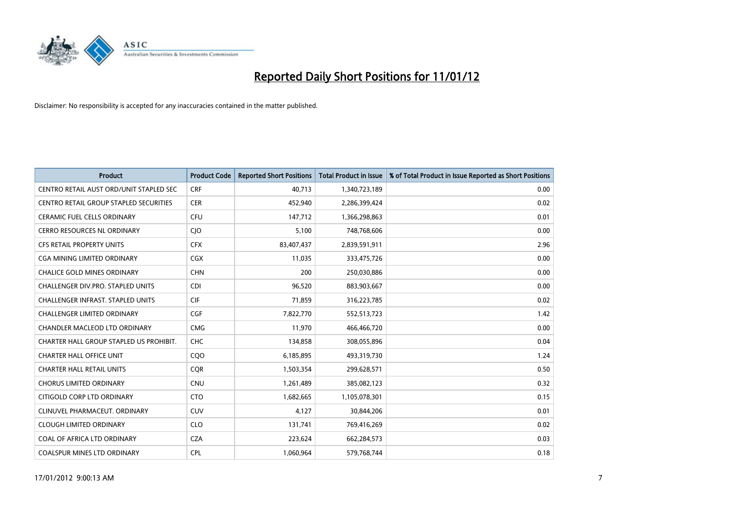

| <b>Product</b>                          | <b>Product Code</b> | <b>Reported Short Positions</b> | <b>Total Product in Issue</b> | % of Total Product in Issue Reported as Short Positions |
|-----------------------------------------|---------------------|---------------------------------|-------------------------------|---------------------------------------------------------|
| CENTRO RETAIL AUST ORD/UNIT STAPLED SEC | <b>CRF</b>          | 40,713                          | 1,340,723,189                 | 0.00                                                    |
| CENTRO RETAIL GROUP STAPLED SECURITIES  | <b>CER</b>          | 452,940                         | 2,286,399,424                 | 0.02                                                    |
| <b>CERAMIC FUEL CELLS ORDINARY</b>      | CFU                 | 147,712                         | 1,366,298,863                 | 0.01                                                    |
| CERRO RESOURCES NL ORDINARY             | <b>CIO</b>          | 5,100                           | 748,768,606                   | 0.00                                                    |
| <b>CFS RETAIL PROPERTY UNITS</b>        | <b>CFX</b>          | 83,407,437                      | 2,839,591,911                 | 2.96                                                    |
| <b>CGA MINING LIMITED ORDINARY</b>      | <b>CGX</b>          | 11,035                          | 333,475,726                   | 0.00                                                    |
| <b>CHALICE GOLD MINES ORDINARY</b>      | <b>CHN</b>          | 200                             | 250,030,886                   | 0.00                                                    |
| CHALLENGER DIV.PRO. STAPLED UNITS       | <b>CDI</b>          | 96,520                          | 883,903,667                   | 0.00                                                    |
| CHALLENGER INFRAST. STAPLED UNITS       | <b>CIF</b>          | 71,859                          | 316,223,785                   | 0.02                                                    |
| <b>CHALLENGER LIMITED ORDINARY</b>      | <b>CGF</b>          | 7,822,770                       | 552,513,723                   | 1.42                                                    |
| CHANDLER MACLEOD LTD ORDINARY           | <b>CMG</b>          | 11,970                          | 466,466,720                   | 0.00                                                    |
| CHARTER HALL GROUP STAPLED US PROHIBIT. | CHC                 | 134,858                         | 308,055,896                   | 0.04                                                    |
| <b>CHARTER HALL OFFICE UNIT</b>         | COO                 | 6,185,895                       | 493,319,730                   | 1.24                                                    |
| <b>CHARTER HALL RETAIL UNITS</b>        | <b>COR</b>          | 1,503,354                       | 299,628,571                   | 0.50                                                    |
| <b>CHORUS LIMITED ORDINARY</b>          | <b>CNU</b>          | 1,261,489                       | 385,082,123                   | 0.32                                                    |
| CITIGOLD CORP LTD ORDINARY              | <b>CTO</b>          | 1,682,665                       | 1,105,078,301                 | 0.15                                                    |
| CLINUVEL PHARMACEUT, ORDINARY           | <b>CUV</b>          | 4,127                           | 30,844,206                    | 0.01                                                    |
| <b>CLOUGH LIMITED ORDINARY</b>          | <b>CLO</b>          | 131,741                         | 769,416,269                   | 0.02                                                    |
| COAL OF AFRICA LTD ORDINARY             | <b>CZA</b>          | 223,624                         | 662,284,573                   | 0.03                                                    |
| <b>COALSPUR MINES LTD ORDINARY</b>      | <b>CPL</b>          | 1.060.964                       | 579,768,744                   | 0.18                                                    |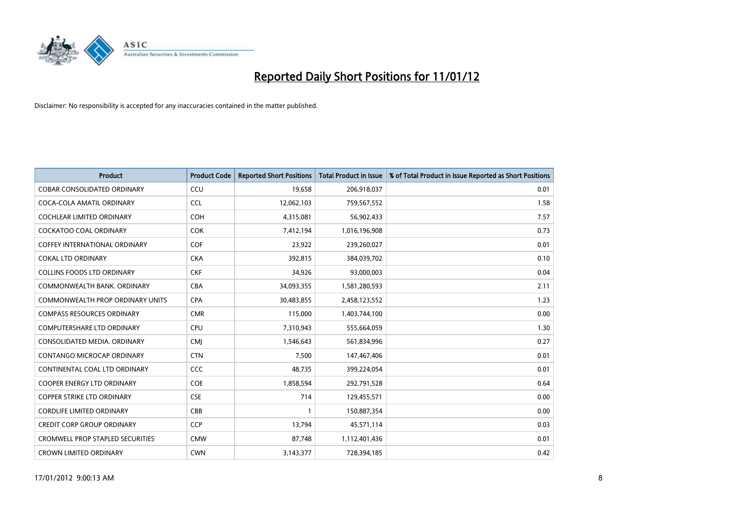

| <b>Product</b>                          | <b>Product Code</b> | <b>Reported Short Positions</b> | <b>Total Product in Issue</b> | % of Total Product in Issue Reported as Short Positions |
|-----------------------------------------|---------------------|---------------------------------|-------------------------------|---------------------------------------------------------|
| <b>COBAR CONSOLIDATED ORDINARY</b>      | CCU                 | 19,658                          | 206,918,037                   | 0.01                                                    |
| COCA-COLA AMATIL ORDINARY               | <b>CCL</b>          | 12,062,103                      | 759,567,552                   | 1.58                                                    |
| <b>COCHLEAR LIMITED ORDINARY</b>        | <b>COH</b>          | 4,315,081                       | 56,902,433                    | 7.57                                                    |
| COCKATOO COAL ORDINARY                  | <b>COK</b>          | 7,412,194                       | 1,016,196,908                 | 0.73                                                    |
| <b>COFFEY INTERNATIONAL ORDINARY</b>    | <b>COF</b>          | 23,922                          | 239,260,027                   | 0.01                                                    |
| <b>COKAL LTD ORDINARY</b>               | <b>CKA</b>          | 392,815                         | 384,039,702                   | 0.10                                                    |
| <b>COLLINS FOODS LTD ORDINARY</b>       | <b>CKF</b>          | 34,926                          | 93,000,003                    | 0.04                                                    |
| COMMONWEALTH BANK, ORDINARY             | <b>CBA</b>          | 34,093,355                      | 1,581,280,593                 | 2.11                                                    |
| COMMONWEALTH PROP ORDINARY UNITS        | <b>CPA</b>          | 30,483,855                      | 2,458,123,552                 | 1.23                                                    |
| <b>COMPASS RESOURCES ORDINARY</b>       | <b>CMR</b>          | 115,000                         | 1,403,744,100                 | 0.00                                                    |
| COMPUTERSHARE LTD ORDINARY              | <b>CPU</b>          | 7,310,943                       | 555,664,059                   | 1.30                                                    |
| CONSOLIDATED MEDIA, ORDINARY            | <b>CMI</b>          | 1,546,643                       | 561,834,996                   | 0.27                                                    |
| CONTANGO MICROCAP ORDINARY              | <b>CTN</b>          | 7,500                           | 147,467,406                   | 0.01                                                    |
| CONTINENTAL COAL LTD ORDINARY           | CCC                 | 48,735                          | 399,224,054                   | 0.01                                                    |
| <b>COOPER ENERGY LTD ORDINARY</b>       | <b>COE</b>          | 1,858,594                       | 292,791,528                   | 0.64                                                    |
| <b>COPPER STRIKE LTD ORDINARY</b>       | <b>CSE</b>          | 714                             | 129,455,571                   | 0.00                                                    |
| <b>CORDLIFE LIMITED ORDINARY</b>        | CBB                 |                                 | 150,887,354                   | 0.00                                                    |
| <b>CREDIT CORP GROUP ORDINARY</b>       | <b>CCP</b>          | 13,794                          | 45,571,114                    | 0.03                                                    |
| <b>CROMWELL PROP STAPLED SECURITIES</b> | <b>CMW</b>          | 87,748                          | 1,112,401,436                 | 0.01                                                    |
| <b>CROWN LIMITED ORDINARY</b>           | <b>CWN</b>          | 3,143,377                       | 728,394,185                   | 0.42                                                    |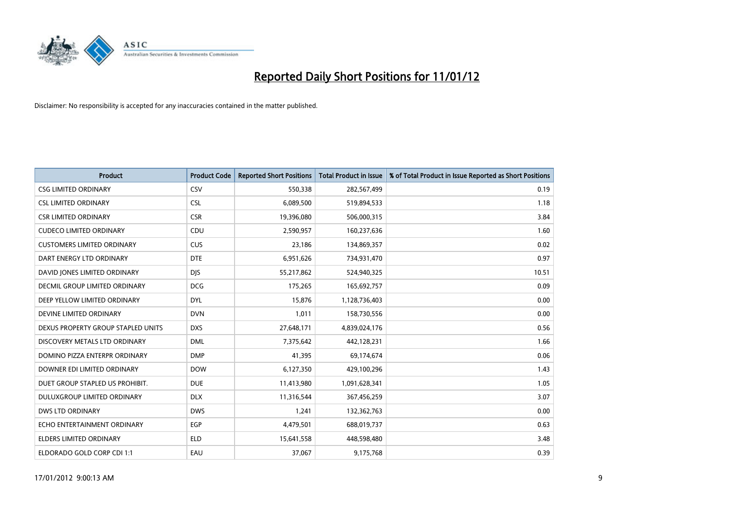

| <b>Product</b>                     | <b>Product Code</b> | <b>Reported Short Positions</b> | <b>Total Product in Issue</b> | % of Total Product in Issue Reported as Short Positions |
|------------------------------------|---------------------|---------------------------------|-------------------------------|---------------------------------------------------------|
| <b>CSG LIMITED ORDINARY</b>        | CSV                 | 550,338                         | 282,567,499                   | 0.19                                                    |
| <b>CSL LIMITED ORDINARY</b>        | <b>CSL</b>          | 6,089,500                       | 519,894,533                   | 1.18                                                    |
| <b>CSR LIMITED ORDINARY</b>        | <b>CSR</b>          | 19,396,080                      | 506,000,315                   | 3.84                                                    |
| <b>CUDECO LIMITED ORDINARY</b>     | CDU                 | 2,590,957                       | 160,237,636                   | 1.60                                                    |
| <b>CUSTOMERS LIMITED ORDINARY</b>  | <b>CUS</b>          | 23,186                          | 134,869,357                   | 0.02                                                    |
| DART ENERGY LTD ORDINARY           | <b>DTE</b>          | 6,951,626                       | 734,931,470                   | 0.97                                                    |
| DAVID JONES LIMITED ORDINARY       | <b>DIS</b>          | 55,217,862                      | 524,940,325                   | 10.51                                                   |
| DECMIL GROUP LIMITED ORDINARY      | <b>DCG</b>          | 175,265                         | 165,692,757                   | 0.09                                                    |
| DEEP YELLOW LIMITED ORDINARY       | <b>DYL</b>          | 15,876                          | 1,128,736,403                 | 0.00                                                    |
| DEVINE LIMITED ORDINARY            | <b>DVN</b>          | 1,011                           | 158,730,556                   | 0.00                                                    |
| DEXUS PROPERTY GROUP STAPLED UNITS | <b>DXS</b>          | 27,648,171                      | 4,839,024,176                 | 0.56                                                    |
| DISCOVERY METALS LTD ORDINARY      | <b>DML</b>          | 7,375,642                       | 442,128,231                   | 1.66                                                    |
| DOMINO PIZZA ENTERPR ORDINARY      | <b>DMP</b>          | 41,395                          | 69,174,674                    | 0.06                                                    |
| DOWNER EDI LIMITED ORDINARY        | <b>DOW</b>          | 6,127,350                       | 429,100,296                   | 1.43                                                    |
| DUET GROUP STAPLED US PROHIBIT.    | <b>DUE</b>          | 11,413,980                      | 1,091,628,341                 | 1.05                                                    |
| DULUXGROUP LIMITED ORDINARY        | <b>DLX</b>          | 11,316,544                      | 367,456,259                   | 3.07                                                    |
| <b>DWS LTD ORDINARY</b>            | <b>DWS</b>          | 1,241                           | 132,362,763                   | 0.00                                                    |
| ECHO ENTERTAINMENT ORDINARY        | <b>EGP</b>          | 4,479,501                       | 688,019,737                   | 0.63                                                    |
| <b>ELDERS LIMITED ORDINARY</b>     | <b>ELD</b>          | 15,641,558                      | 448,598,480                   | 3.48                                                    |
| ELDORADO GOLD CORP CDI 1:1         | EAU                 | 37,067                          | 9,175,768                     | 0.39                                                    |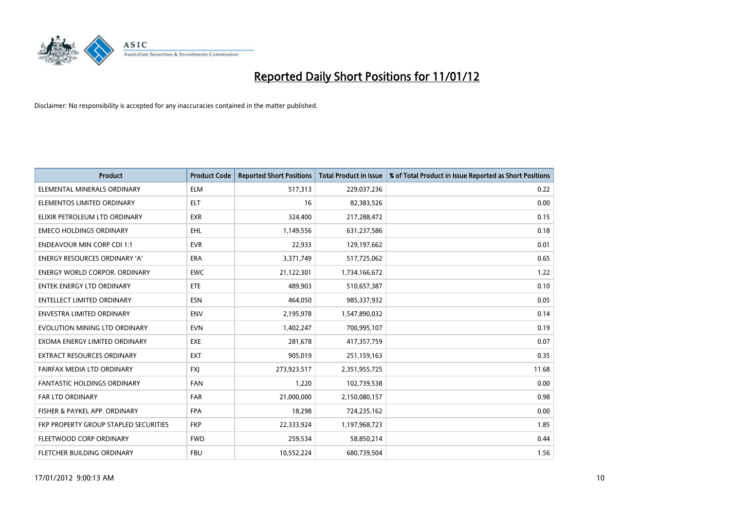

| <b>Product</b>                        | <b>Product Code</b> | <b>Reported Short Positions</b> | <b>Total Product in Issue</b> | % of Total Product in Issue Reported as Short Positions |
|---------------------------------------|---------------------|---------------------------------|-------------------------------|---------------------------------------------------------|
| ELEMENTAL MINERALS ORDINARY           | <b>ELM</b>          | 517,313                         | 229,037,236                   | 0.22                                                    |
| ELEMENTOS LIMITED ORDINARY            | <b>ELT</b>          | 16                              | 82,383,526                    | 0.00                                                    |
| ELIXIR PETROLEUM LTD ORDINARY         | <b>EXR</b>          | 324,400                         | 217,288,472                   | 0.15                                                    |
| <b>EMECO HOLDINGS ORDINARY</b>        | <b>EHL</b>          | 1,149,556                       | 631,237,586                   | 0.18                                                    |
| <b>ENDEAVOUR MIN CORP CDI 1:1</b>     | <b>EVR</b>          | 22,933                          | 129,197,662                   | 0.01                                                    |
| <b>ENERGY RESOURCES ORDINARY 'A'</b>  | <b>ERA</b>          | 3,371,749                       | 517,725,062                   | 0.65                                                    |
| ENERGY WORLD CORPOR, ORDINARY         | <b>EWC</b>          | 21,122,301                      | 1,734,166,672                 | 1.22                                                    |
| ENTEK ENERGY LTD ORDINARY             | <b>ETE</b>          | 489,903                         | 510,657,387                   | 0.10                                                    |
| <b>ENTELLECT LIMITED ORDINARY</b>     | <b>ESN</b>          | 464,050                         | 985,337,932                   | 0.05                                                    |
| <b>ENVESTRA LIMITED ORDINARY</b>      | <b>ENV</b>          | 2,195,978                       | 1,547,890,032                 | 0.14                                                    |
| EVOLUTION MINING LTD ORDINARY         | <b>EVN</b>          | 1,402,247                       | 700,995,107                   | 0.19                                                    |
| EXOMA ENERGY LIMITED ORDINARY         | <b>EXE</b>          | 281,678                         | 417,357,759                   | 0.07                                                    |
| EXTRACT RESOURCES ORDINARY            | <b>EXT</b>          | 905,019                         | 251,159,163                   | 0.35                                                    |
| FAIRFAX MEDIA LTD ORDINARY            | <b>FXI</b>          | 273,923,517                     | 2,351,955,725                 | 11.68                                                   |
| <b>FANTASTIC HOLDINGS ORDINARY</b>    | <b>FAN</b>          | 1,220                           | 102,739,538                   | 0.00                                                    |
| FAR LTD ORDINARY                      | <b>FAR</b>          | 21,000,000                      | 2,150,080,157                 | 0.98                                                    |
| FISHER & PAYKEL APP. ORDINARY         | <b>FPA</b>          | 18,298                          | 724,235,162                   | 0.00                                                    |
| FKP PROPERTY GROUP STAPLED SECURITIES | <b>FKP</b>          | 22,333,924                      | 1,197,968,723                 | 1.85                                                    |
| FLEETWOOD CORP ORDINARY               | <b>FWD</b>          | 259,534                         | 58,850,214                    | 0.44                                                    |
| FLETCHER BUILDING ORDINARY            | <b>FBU</b>          | 10,552,224                      | 680,739,504                   | 1.56                                                    |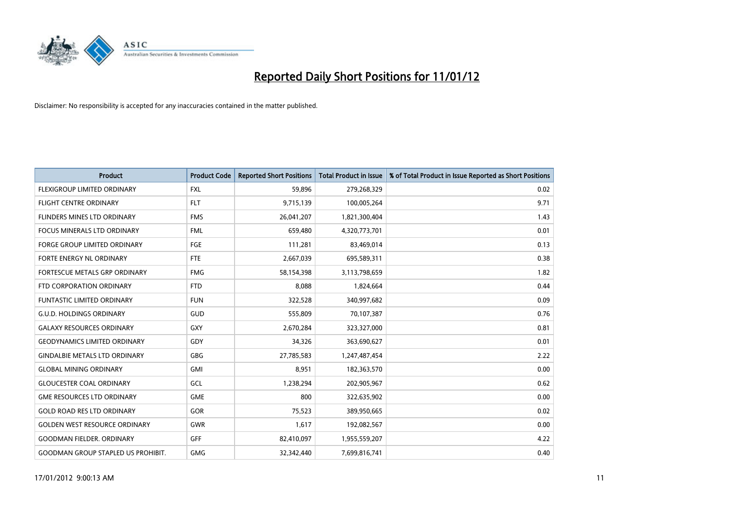

| <b>Product</b>                            | <b>Product Code</b> | <b>Reported Short Positions</b> | <b>Total Product in Issue</b> | % of Total Product in Issue Reported as Short Positions |
|-------------------------------------------|---------------------|---------------------------------|-------------------------------|---------------------------------------------------------|
| <b>FLEXIGROUP LIMITED ORDINARY</b>        | <b>FXL</b>          | 59,896                          | 279,268,329                   | 0.02                                                    |
| FLIGHT CENTRE ORDINARY                    | <b>FLT</b>          | 9,715,139                       | 100,005,264                   | 9.71                                                    |
| FLINDERS MINES LTD ORDINARY               | <b>FMS</b>          | 26,041,207                      | 1,821,300,404                 | 1.43                                                    |
| FOCUS MINERALS LTD ORDINARY               | <b>FML</b>          | 659,480                         | 4,320,773,701                 | 0.01                                                    |
| <b>FORGE GROUP LIMITED ORDINARY</b>       | FGE                 | 111,281                         | 83,469,014                    | 0.13                                                    |
| <b>FORTE ENERGY NL ORDINARY</b>           | <b>FTE</b>          | 2,667,039                       | 695,589,311                   | 0.38                                                    |
| <b>FORTESCUE METALS GRP ORDINARY</b>      | <b>FMG</b>          | 58,154,398                      | 3,113,798,659                 | 1.82                                                    |
| FTD CORPORATION ORDINARY                  | <b>FTD</b>          | 8,088                           | 1,824,664                     | 0.44                                                    |
| FUNTASTIC LIMITED ORDINARY                | <b>FUN</b>          | 322,528                         | 340,997,682                   | 0.09                                                    |
| <b>G.U.D. HOLDINGS ORDINARY</b>           | <b>GUD</b>          | 555,809                         | 70,107,387                    | 0.76                                                    |
| <b>GALAXY RESOURCES ORDINARY</b>          | GXY                 | 2,670,284                       | 323,327,000                   | 0.81                                                    |
| <b>GEODYNAMICS LIMITED ORDINARY</b>       | GDY                 | 34,326                          | 363,690,627                   | 0.01                                                    |
| <b>GINDALBIE METALS LTD ORDINARY</b>      | <b>GBG</b>          | 27,785,583                      | 1,247,487,454                 | 2.22                                                    |
| <b>GLOBAL MINING ORDINARY</b>             | GMI                 | 8,951                           | 182,363,570                   | 0.00                                                    |
| <b>GLOUCESTER COAL ORDINARY</b>           | GCL                 | 1,238,294                       | 202,905,967                   | 0.62                                                    |
| <b>GME RESOURCES LTD ORDINARY</b>         | <b>GME</b>          | 800                             | 322,635,902                   | 0.00                                                    |
| <b>GOLD ROAD RES LTD ORDINARY</b>         | GOR                 | 75,523                          | 389,950,665                   | 0.02                                                    |
| <b>GOLDEN WEST RESOURCE ORDINARY</b>      | <b>GWR</b>          | 1,617                           | 192,082,567                   | 0.00                                                    |
| <b>GOODMAN FIELDER, ORDINARY</b>          | <b>GFF</b>          | 82,410,097                      | 1,955,559,207                 | 4.22                                                    |
| <b>GOODMAN GROUP STAPLED US PROHIBIT.</b> | <b>GMG</b>          | 32.342.440                      | 7,699,816,741                 | 0.40                                                    |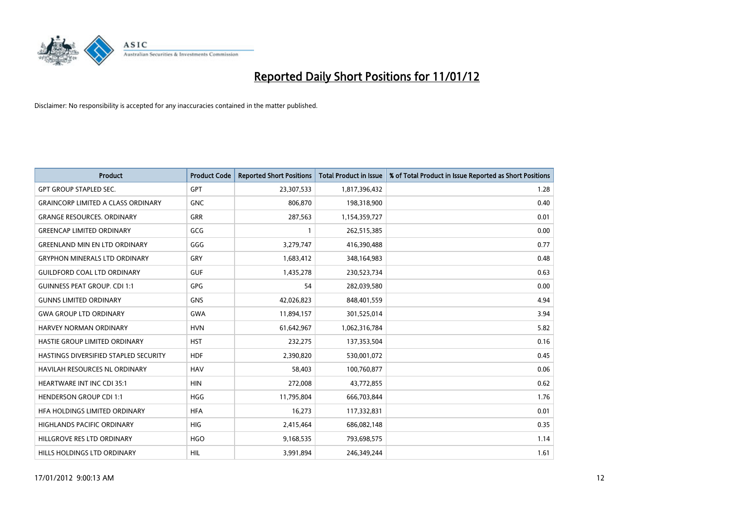

| <b>Product</b>                            | <b>Product Code</b> | <b>Reported Short Positions</b> | <b>Total Product in Issue</b> | % of Total Product in Issue Reported as Short Positions |
|-------------------------------------------|---------------------|---------------------------------|-------------------------------|---------------------------------------------------------|
| <b>GPT GROUP STAPLED SEC.</b>             | <b>GPT</b>          | 23,307,533                      | 1,817,396,432                 | 1.28                                                    |
| <b>GRAINCORP LIMITED A CLASS ORDINARY</b> | <b>GNC</b>          | 806.870                         | 198,318,900                   | 0.40                                                    |
| <b>GRANGE RESOURCES, ORDINARY</b>         | <b>GRR</b>          | 287,563                         | 1,154,359,727                 | 0.01                                                    |
| <b>GREENCAP LIMITED ORDINARY</b>          | GCG                 |                                 | 262,515,385                   | 0.00                                                    |
| <b>GREENLAND MIN EN LTD ORDINARY</b>      | GGG                 | 3,279,747                       | 416,390,488                   | 0.77                                                    |
| <b>GRYPHON MINERALS LTD ORDINARY</b>      | GRY                 | 1,683,412                       | 348,164,983                   | 0.48                                                    |
| <b>GUILDFORD COAL LTD ORDINARY</b>        | <b>GUF</b>          | 1,435,278                       | 230,523,734                   | 0.63                                                    |
| <b>GUINNESS PEAT GROUP. CDI 1:1</b>       | GPG                 | 54                              | 282,039,580                   | 0.00                                                    |
| <b>GUNNS LIMITED ORDINARY</b>             | <b>GNS</b>          | 42,026,823                      | 848,401,559                   | 4.94                                                    |
| <b>GWA GROUP LTD ORDINARY</b>             | <b>GWA</b>          | 11,894,157                      | 301,525,014                   | 3.94                                                    |
| HARVEY NORMAN ORDINARY                    | <b>HVN</b>          | 61,642,967                      | 1,062,316,784                 | 5.82                                                    |
| HASTIE GROUP LIMITED ORDINARY             | <b>HST</b>          | 232,275                         | 137,353,504                   | 0.16                                                    |
| HASTINGS DIVERSIFIED STAPLED SECURITY     | <b>HDF</b>          | 2.390.820                       | 530,001,072                   | 0.45                                                    |
| <b>HAVILAH RESOURCES NL ORDINARY</b>      | <b>HAV</b>          | 58.403                          | 100,760,877                   | 0.06                                                    |
| <b>HEARTWARE INT INC CDI 35:1</b>         | <b>HIN</b>          | 272,008                         | 43,772,855                    | 0.62                                                    |
| <b>HENDERSON GROUP CDI 1:1</b>            | <b>HGG</b>          | 11,795,804                      | 666,703,844                   | 1.76                                                    |
| HFA HOLDINGS LIMITED ORDINARY             | <b>HFA</b>          | 16,273                          | 117,332,831                   | 0.01                                                    |
| HIGHLANDS PACIFIC ORDINARY                | <b>HIG</b>          | 2,415,464                       | 686,082,148                   | 0.35                                                    |
| HILLGROVE RES LTD ORDINARY                | <b>HGO</b>          | 9,168,535                       | 793,698,575                   | 1.14                                                    |
| HILLS HOLDINGS LTD ORDINARY               | <b>HIL</b>          | 3.991.894                       | 246,349,244                   | 1.61                                                    |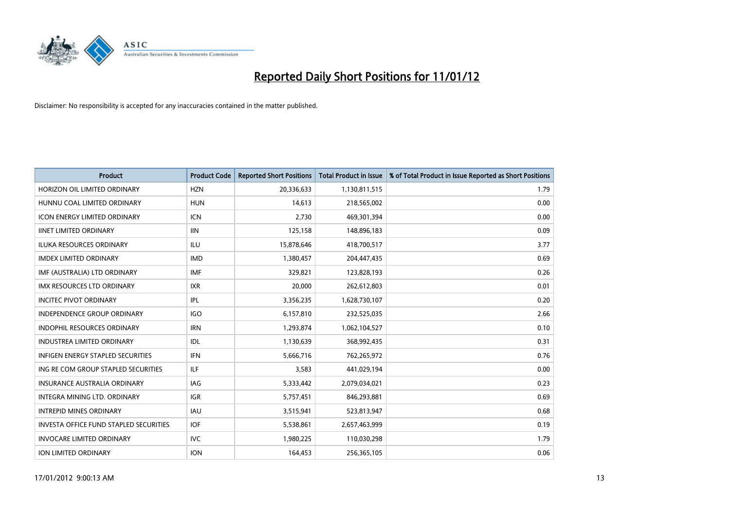

| <b>Product</b>                                | <b>Product Code</b> | <b>Reported Short Positions</b> | <b>Total Product in Issue</b> | % of Total Product in Issue Reported as Short Positions |
|-----------------------------------------------|---------------------|---------------------------------|-------------------------------|---------------------------------------------------------|
| HORIZON OIL LIMITED ORDINARY                  | <b>HZN</b>          | 20,336,633                      | 1,130,811,515                 | 1.79                                                    |
| HUNNU COAL LIMITED ORDINARY                   | <b>HUN</b>          | 14,613                          | 218,565,002                   | 0.00                                                    |
| ICON ENERGY LIMITED ORDINARY                  | <b>ICN</b>          | 2,730                           | 469,301,394                   | 0.00                                                    |
| <b>IINET LIMITED ORDINARY</b>                 | <b>IIN</b>          | 125,158                         | 148,896,183                   | 0.09                                                    |
| <b>ILUKA RESOURCES ORDINARY</b>               | ILU                 | 15,878,646                      | 418,700,517                   | 3.77                                                    |
| <b>IMDEX LIMITED ORDINARY</b>                 | <b>IMD</b>          | 1,380,457                       | 204,447,435                   | 0.69                                                    |
| IMF (AUSTRALIA) LTD ORDINARY                  | <b>IMF</b>          | 329,821                         | 123,828,193                   | 0.26                                                    |
| IMX RESOURCES LTD ORDINARY                    | <b>IXR</b>          | 20,000                          | 262,612,803                   | 0.01                                                    |
| <b>INCITEC PIVOT ORDINARY</b>                 | IPL                 | 3,356,235                       | 1,628,730,107                 | 0.20                                                    |
| <b>INDEPENDENCE GROUP ORDINARY</b>            | <b>IGO</b>          | 6,157,810                       | 232,525,035                   | 2.66                                                    |
| INDOPHIL RESOURCES ORDINARY                   | <b>IRN</b>          | 1,293,874                       | 1,062,104,527                 | 0.10                                                    |
| <b>INDUSTREA LIMITED ORDINARY</b>             | IDL                 | 1,130,639                       | 368,992,435                   | 0.31                                                    |
| <b>INFIGEN ENERGY STAPLED SECURITIES</b>      | <b>IFN</b>          | 5,666,716                       | 762,265,972                   | 0.76                                                    |
| ING RE COM GROUP STAPLED SECURITIES           | ILF.                | 3,583                           | 441,029,194                   | 0.00                                                    |
| <b>INSURANCE AUSTRALIA ORDINARY</b>           | IAG                 | 5,333,442                       | 2,079,034,021                 | 0.23                                                    |
| <b>INTEGRA MINING LTD, ORDINARY</b>           | <b>IGR</b>          | 5,757,451                       | 846,293,881                   | 0.69                                                    |
| <b>INTREPID MINES ORDINARY</b>                | <b>IAU</b>          | 3,515,941                       | 523,813,947                   | 0.68                                                    |
| <b>INVESTA OFFICE FUND STAPLED SECURITIES</b> | <b>IOF</b>          | 5,538,861                       | 2,657,463,999                 | 0.19                                                    |
| <b>INVOCARE LIMITED ORDINARY</b>              | <b>IVC</b>          | 1,980,225                       | 110,030,298                   | 1.79                                                    |
| <b>ION LIMITED ORDINARY</b>                   | <b>ION</b>          | 164,453                         | 256,365,105                   | 0.06                                                    |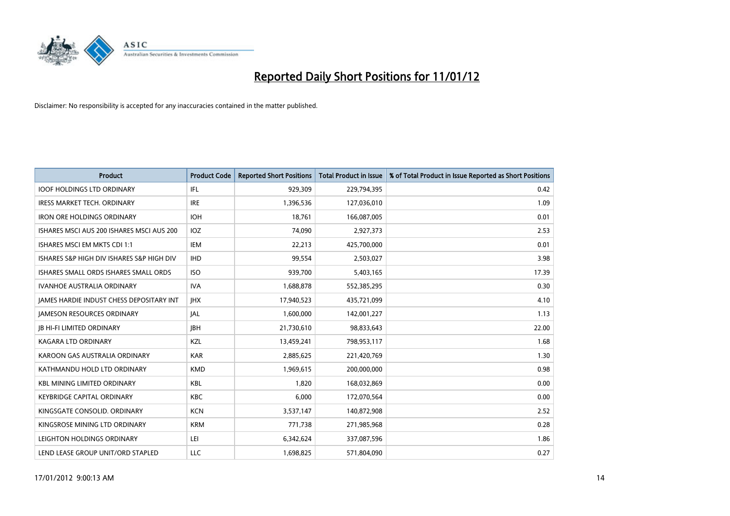

| <b>Product</b>                                  | <b>Product Code</b> | <b>Reported Short Positions</b> | <b>Total Product in Issue</b> | % of Total Product in Issue Reported as Short Positions |
|-------------------------------------------------|---------------------|---------------------------------|-------------------------------|---------------------------------------------------------|
| <b>IOOF HOLDINGS LTD ORDINARY</b>               | IFL                 | 929,309                         | 229,794,395                   | 0.42                                                    |
| <b>IRESS MARKET TECH. ORDINARY</b>              | <b>IRE</b>          | 1,396,536                       | 127,036,010                   | 1.09                                                    |
| <b>IRON ORE HOLDINGS ORDINARY</b>               | <b>IOH</b>          | 18,761                          | 166,087,005                   | 0.01                                                    |
| ISHARES MSCI AUS 200 ISHARES MSCI AUS 200       | <b>IOZ</b>          | 74,090                          | 2,927,373                     | 2.53                                                    |
| ISHARES MSCI EM MKTS CDI 1:1                    | <b>IEM</b>          | 22,213                          | 425,700,000                   | 0.01                                                    |
| ISHARES S&P HIGH DIV ISHARES S&P HIGH DIV       | <b>IHD</b>          | 99,554                          | 2,503,027                     | 3.98                                                    |
| ISHARES SMALL ORDS ISHARES SMALL ORDS           | <b>ISO</b>          | 939,700                         | 5,403,165                     | 17.39                                                   |
| <b>IVANHOE AUSTRALIA ORDINARY</b>               | <b>IVA</b>          | 1,688,878                       | 552,385,295                   | 0.30                                                    |
| <b>JAMES HARDIE INDUST CHESS DEPOSITARY INT</b> | <b>IHX</b>          | 17,940,523                      | 435,721,099                   | 4.10                                                    |
| <b>JAMESON RESOURCES ORDINARY</b>               | <b>JAL</b>          | 1,600,000                       | 142,001,227                   | 1.13                                                    |
| <b>JB HI-FI LIMITED ORDINARY</b>                | <b>IBH</b>          | 21,730,610                      | 98,833,643                    | 22.00                                                   |
| <b>KAGARA LTD ORDINARY</b>                      | <b>KZL</b>          | 13,459,241                      | 798,953,117                   | 1.68                                                    |
| KAROON GAS AUSTRALIA ORDINARY                   | <b>KAR</b>          | 2,885,625                       | 221,420,769                   | 1.30                                                    |
| KATHMANDU HOLD LTD ORDINARY                     | <b>KMD</b>          | 1,969,615                       | 200,000,000                   | 0.98                                                    |
| <b>KBL MINING LIMITED ORDINARY</b>              | <b>KBL</b>          | 1,820                           | 168,032,869                   | 0.00                                                    |
| <b>KEYBRIDGE CAPITAL ORDINARY</b>               | <b>KBC</b>          | 6,000                           | 172,070,564                   | 0.00                                                    |
| KINGSGATE CONSOLID. ORDINARY                    | <b>KCN</b>          | 3,537,147                       | 140,872,908                   | 2.52                                                    |
| KINGSROSE MINING LTD ORDINARY                   | <b>KRM</b>          | 771,738                         | 271,985,968                   | 0.28                                                    |
| LEIGHTON HOLDINGS ORDINARY                      | LEI                 | 6,342,624                       | 337,087,596                   | 1.86                                                    |
| LEND LEASE GROUP UNIT/ORD STAPLED               | LLC                 | 1,698,825                       | 571,804,090                   | 0.27                                                    |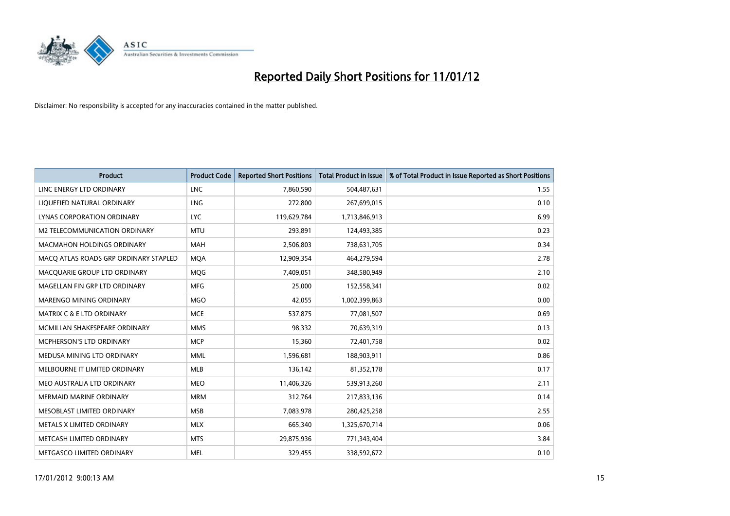

| <b>Product</b>                        | <b>Product Code</b> | <b>Reported Short Positions</b> | <b>Total Product in Issue</b> | % of Total Product in Issue Reported as Short Positions |
|---------------------------------------|---------------------|---------------------------------|-------------------------------|---------------------------------------------------------|
| LINC ENERGY LTD ORDINARY              | <b>LNC</b>          | 7,860,590                       | 504,487,631                   | 1.55                                                    |
| LIQUEFIED NATURAL ORDINARY            | <b>LNG</b>          | 272,800                         | 267,699,015                   | 0.10                                                    |
| LYNAS CORPORATION ORDINARY            | <b>LYC</b>          | 119,629,784                     | 1,713,846,913                 | 6.99                                                    |
| M2 TELECOMMUNICATION ORDINARY         | <b>MTU</b>          | 293,891                         | 124,493,385                   | 0.23                                                    |
| <b>MACMAHON HOLDINGS ORDINARY</b>     | <b>MAH</b>          | 2,506,803                       | 738,631,705                   | 0.34                                                    |
| MACQ ATLAS ROADS GRP ORDINARY STAPLED | <b>MOA</b>          | 12,909,354                      | 464,279,594                   | 2.78                                                    |
| MACQUARIE GROUP LTD ORDINARY          | <b>MOG</b>          | 7,409,051                       | 348,580,949                   | 2.10                                                    |
| MAGELLAN FIN GRP LTD ORDINARY         | <b>MFG</b>          | 25.000                          | 152,558,341                   | 0.02                                                    |
| <b>MARENGO MINING ORDINARY</b>        | <b>MGO</b>          | 42,055                          | 1,002,399,863                 | 0.00                                                    |
| <b>MATRIX C &amp; E LTD ORDINARY</b>  | <b>MCE</b>          | 537,875                         | 77,081,507                    | 0.69                                                    |
| MCMILLAN SHAKESPEARE ORDINARY         | <b>MMS</b>          | 98,332                          | 70,639,319                    | 0.13                                                    |
| MCPHERSON'S LTD ORDINARY              | <b>MCP</b>          | 15,360                          | 72,401,758                    | 0.02                                                    |
| MEDUSA MINING LTD ORDINARY            | <b>MML</b>          | 1,596,681                       | 188,903,911                   | 0.86                                                    |
| MELBOURNE IT LIMITED ORDINARY         | <b>MLB</b>          | 136,142                         | 81,352,178                    | 0.17                                                    |
| MEO AUSTRALIA LTD ORDINARY            | <b>MEO</b>          | 11,406,326                      | 539,913,260                   | 2.11                                                    |
| <b>MERMAID MARINE ORDINARY</b>        | <b>MRM</b>          | 312,764                         | 217,833,136                   | 0.14                                                    |
| MESOBLAST LIMITED ORDINARY            | <b>MSB</b>          | 7,083,978                       | 280,425,258                   | 2.55                                                    |
| METALS X LIMITED ORDINARY             | <b>MLX</b>          | 665,340                         | 1,325,670,714                 | 0.06                                                    |
| METCASH LIMITED ORDINARY              | <b>MTS</b>          | 29,875,936                      | 771,343,404                   | 3.84                                                    |
| METGASCO LIMITED ORDINARY             | <b>MEL</b>          | 329,455                         | 338,592,672                   | 0.10                                                    |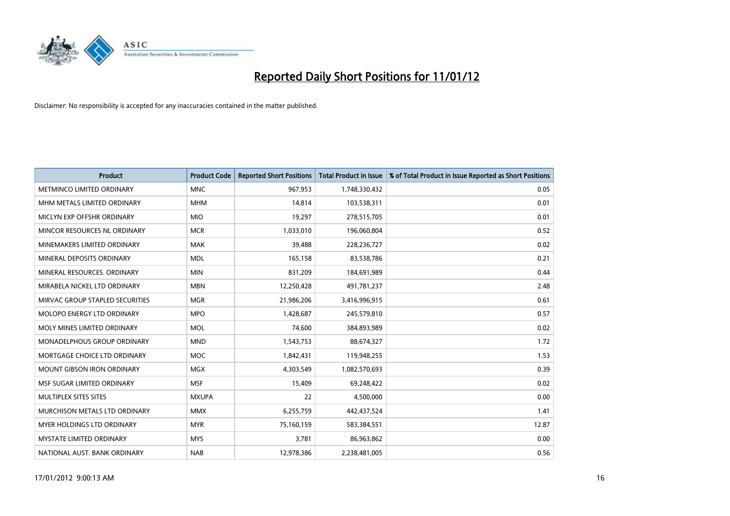

| <b>Product</b>                       | <b>Product Code</b> | <b>Reported Short Positions</b> | <b>Total Product in Issue</b> | % of Total Product in Issue Reported as Short Positions |
|--------------------------------------|---------------------|---------------------------------|-------------------------------|---------------------------------------------------------|
| METMINCO LIMITED ORDINARY            | <b>MNC</b>          | 967,953                         | 1,748,330,432                 | 0.05                                                    |
| MHM METALS LIMITED ORDINARY          | <b>MHM</b>          | 14,814                          | 103,538,311                   | 0.01                                                    |
| MICLYN EXP OFFSHR ORDINARY           | <b>MIO</b>          | 19,297                          | 278,515,705                   | 0.01                                                    |
| MINCOR RESOURCES NL ORDINARY         | <b>MCR</b>          | 1,033,010                       | 196,060,804                   | 0.52                                                    |
| MINEMAKERS LIMITED ORDINARY          | <b>MAK</b>          | 39,488                          | 228,236,727                   | 0.02                                                    |
| MINERAL DEPOSITS ORDINARY            | <b>MDL</b>          | 165,158                         | 83,538,786                    | 0.21                                                    |
| MINERAL RESOURCES, ORDINARY          | <b>MIN</b>          | 831,209                         | 184,691,989                   | 0.44                                                    |
| MIRABELA NICKEL LTD ORDINARY         | <b>MBN</b>          | 12,250,428                      | 491,781,237                   | 2.48                                                    |
| MIRVAC GROUP STAPLED SECURITIES      | <b>MGR</b>          | 21,986,206                      | 3,416,996,915                 | 0.61                                                    |
| <b>MOLOPO ENERGY LTD ORDINARY</b>    | <b>MPO</b>          | 1,428,687                       | 245,579,810                   | 0.57                                                    |
| MOLY MINES LIMITED ORDINARY          | <b>MOL</b>          | 74,600                          | 384,893,989                   | 0.02                                                    |
| <b>MONADELPHOUS GROUP ORDINARY</b>   | <b>MND</b>          | 1,543,753                       | 88,674,327                    | 1.72                                                    |
| MORTGAGE CHOICE LTD ORDINARY         | <b>MOC</b>          | 1,842,431                       | 119,948,255                   | 1.53                                                    |
| <b>MOUNT GIBSON IRON ORDINARY</b>    | MGX                 | 4,303,549                       | 1,082,570,693                 | 0.39                                                    |
| MSF SUGAR LIMITED ORDINARY           | <b>MSF</b>          | 15,409                          | 69,248,422                    | 0.02                                                    |
| MULTIPLEX SITES SITES                | <b>MXUPA</b>        | 22                              | 4,500,000                     | 0.00                                                    |
| <b>MURCHISON METALS LTD ORDINARY</b> | <b>MMX</b>          | 6,255,759                       | 442,437,524                   | 1.41                                                    |
| <b>MYER HOLDINGS LTD ORDINARY</b>    | <b>MYR</b>          | 75,160,159                      | 583,384,551                   | 12.87                                                   |
| <b>MYSTATE LIMITED ORDINARY</b>      | <b>MYS</b>          | 3,781                           | 86,963,862                    | 0.00                                                    |
| NATIONAL AUST. BANK ORDINARY         | <b>NAB</b>          | 12,978,386                      | 2,238,481,005                 | 0.56                                                    |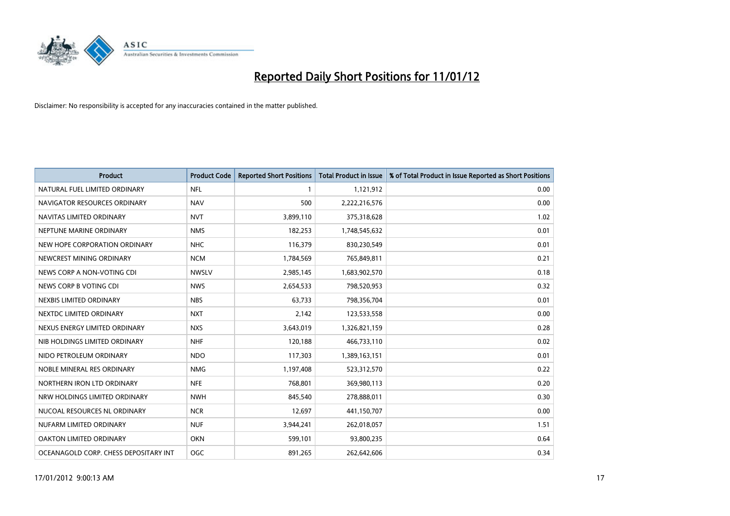

| <b>Product</b>                        | <b>Product Code</b> | <b>Reported Short Positions</b> | <b>Total Product in Issue</b> | % of Total Product in Issue Reported as Short Positions |
|---------------------------------------|---------------------|---------------------------------|-------------------------------|---------------------------------------------------------|
| NATURAL FUEL LIMITED ORDINARY         | <b>NFL</b>          |                                 | 1,121,912                     | 0.00                                                    |
| NAVIGATOR RESOURCES ORDINARY          | <b>NAV</b>          | 500                             | 2,222,216,576                 | 0.00                                                    |
| NAVITAS LIMITED ORDINARY              | <b>NVT</b>          | 3,899,110                       | 375,318,628                   | 1.02                                                    |
| NEPTUNE MARINE ORDINARY               | <b>NMS</b>          | 182,253                         | 1,748,545,632                 | 0.01                                                    |
| NEW HOPE CORPORATION ORDINARY         | <b>NHC</b>          | 116,379                         | 830,230,549                   | 0.01                                                    |
| NEWCREST MINING ORDINARY              | <b>NCM</b>          | 1,784,569                       | 765,849,811                   | 0.21                                                    |
| NEWS CORP A NON-VOTING CDI            | <b>NWSLV</b>        | 2,985,145                       | 1,683,902,570                 | 0.18                                                    |
| NEWS CORP B VOTING CDI                | <b>NWS</b>          | 2,654,533                       | 798,520,953                   | 0.32                                                    |
| NEXBIS LIMITED ORDINARY               | <b>NBS</b>          | 63,733                          | 798,356,704                   | 0.01                                                    |
| NEXTDC LIMITED ORDINARY               | <b>NXT</b>          | 2,142                           | 123,533,558                   | 0.00                                                    |
| NEXUS ENERGY LIMITED ORDINARY         | <b>NXS</b>          | 3,643,019                       | 1,326,821,159                 | 0.28                                                    |
| NIB HOLDINGS LIMITED ORDINARY         | <b>NHF</b>          | 120,188                         | 466,733,110                   | 0.02                                                    |
| NIDO PETROLEUM ORDINARY               | <b>NDO</b>          | 117,303                         | 1,389,163,151                 | 0.01                                                    |
| NOBLE MINERAL RES ORDINARY            | <b>NMG</b>          | 1,197,408                       | 523,312,570                   | 0.22                                                    |
| NORTHERN IRON LTD ORDINARY            | <b>NFE</b>          | 768,801                         | 369,980,113                   | 0.20                                                    |
| NRW HOLDINGS LIMITED ORDINARY         | <b>NWH</b>          | 845,540                         | 278,888,011                   | 0.30                                                    |
| NUCOAL RESOURCES NL ORDINARY          | <b>NCR</b>          | 12,697                          | 441,150,707                   | 0.00                                                    |
| NUFARM LIMITED ORDINARY               | <b>NUF</b>          | 3,944,241                       | 262,018,057                   | 1.51                                                    |
| OAKTON LIMITED ORDINARY               | <b>OKN</b>          | 599,101                         | 93,800,235                    | 0.64                                                    |
| OCEANAGOLD CORP. CHESS DEPOSITARY INT | <b>OGC</b>          | 891,265                         | 262,642,606                   | 0.34                                                    |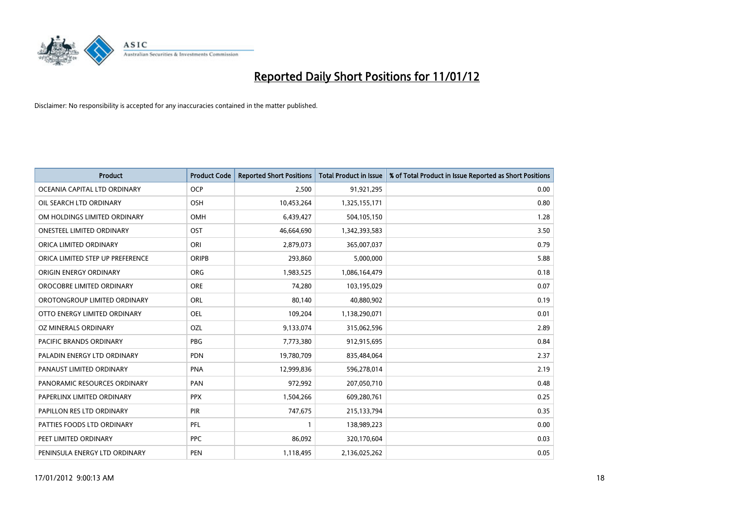

| <b>Product</b>                   | <b>Product Code</b> | <b>Reported Short Positions</b> | <b>Total Product in Issue</b> | % of Total Product in Issue Reported as Short Positions |
|----------------------------------|---------------------|---------------------------------|-------------------------------|---------------------------------------------------------|
| OCEANIA CAPITAL LTD ORDINARY     | <b>OCP</b>          | 2,500                           | 91,921,295                    | 0.00                                                    |
| OIL SEARCH LTD ORDINARY          | OSH                 | 10,453,264                      | 1,325,155,171                 | 0.80                                                    |
| OM HOLDINGS LIMITED ORDINARY     | OMH                 | 6,439,427                       | 504,105,150                   | 1.28                                                    |
| <b>ONESTEEL LIMITED ORDINARY</b> | OST                 | 46,664,690                      | 1,342,393,583                 | 3.50                                                    |
| ORICA LIMITED ORDINARY           | ORI                 | 2,879,073                       | 365,007,037                   | 0.79                                                    |
| ORICA LIMITED STEP UP PREFERENCE | <b>ORIPB</b>        | 293,860                         | 5,000,000                     | 5.88                                                    |
| ORIGIN ENERGY ORDINARY           | <b>ORG</b>          | 1,983,525                       | 1,086,164,479                 | 0.18                                                    |
| OROCOBRE LIMITED ORDINARY        | <b>ORE</b>          | 74,280                          | 103,195,029                   | 0.07                                                    |
| OROTONGROUP LIMITED ORDINARY     | ORL                 | 80,140                          | 40,880,902                    | 0.19                                                    |
| OTTO ENERGY LIMITED ORDINARY     | <b>OEL</b>          | 109,204                         | 1,138,290,071                 | 0.01                                                    |
| OZ MINERALS ORDINARY             | OZL                 | 9,133,074                       | 315,062,596                   | 2.89                                                    |
| PACIFIC BRANDS ORDINARY          | <b>PBG</b>          | 7,773,380                       | 912,915,695                   | 0.84                                                    |
| PALADIN ENERGY LTD ORDINARY      | <b>PDN</b>          | 19,780,709                      | 835,484,064                   | 2.37                                                    |
| PANAUST LIMITED ORDINARY         | <b>PNA</b>          | 12,999,836                      | 596,278,014                   | 2.19                                                    |
| PANORAMIC RESOURCES ORDINARY     | PAN                 | 972,992                         | 207,050,710                   | 0.48                                                    |
| PAPERLINX LIMITED ORDINARY       | <b>PPX</b>          | 1,504,266                       | 609,280,761                   | 0.25                                                    |
| PAPILLON RES LTD ORDINARY        | PIR                 | 747,675                         | 215,133,794                   | 0.35                                                    |
| PATTIES FOODS LTD ORDINARY       | PFL                 |                                 | 138,989,223                   | 0.00                                                    |
| PEET LIMITED ORDINARY            | <b>PPC</b>          | 86,092                          | 320,170,604                   | 0.03                                                    |
| PENINSULA ENERGY LTD ORDINARY    | <b>PEN</b>          | 1,118,495                       | 2,136,025,262                 | 0.05                                                    |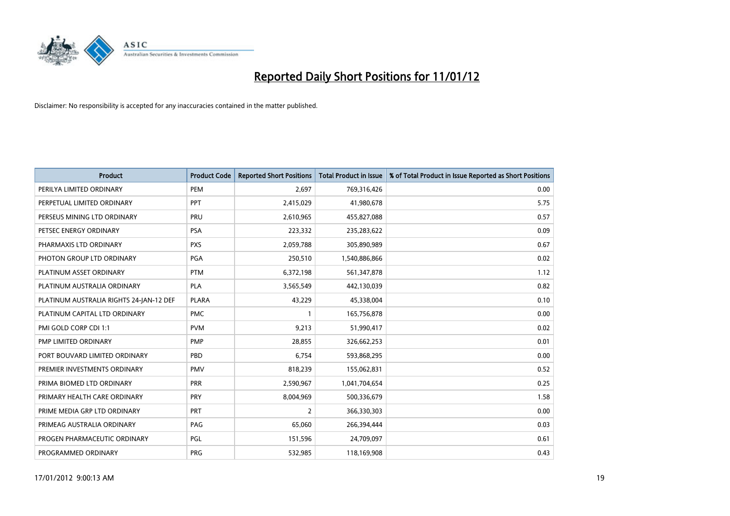

| <b>Product</b>                          | <b>Product Code</b> | <b>Reported Short Positions</b> | <b>Total Product in Issue</b> | % of Total Product in Issue Reported as Short Positions |
|-----------------------------------------|---------------------|---------------------------------|-------------------------------|---------------------------------------------------------|
| PERILYA LIMITED ORDINARY                | PEM                 | 2,697                           | 769,316,426                   | 0.00                                                    |
| PERPETUAL LIMITED ORDINARY              | PPT                 | 2,415,029                       | 41,980,678                    | 5.75                                                    |
| PERSEUS MINING LTD ORDINARY             | PRU                 | 2,610,965                       | 455,827,088                   | 0.57                                                    |
| PETSEC ENERGY ORDINARY                  | <b>PSA</b>          | 223,332                         | 235,283,622                   | 0.09                                                    |
| PHARMAXIS LTD ORDINARY                  | <b>PXS</b>          | 2,059,788                       | 305,890,989                   | 0.67                                                    |
| PHOTON GROUP LTD ORDINARY               | PGA                 | 250,510                         | 1,540,886,866                 | 0.02                                                    |
| PLATINUM ASSET ORDINARY                 | <b>PTM</b>          | 6,372,198                       | 561,347,878                   | 1.12                                                    |
| PLATINUM AUSTRALIA ORDINARY             | <b>PLA</b>          | 3,565,549                       | 442,130,039                   | 0.82                                                    |
| PLATINUM AUSTRALIA RIGHTS 24-JAN-12 DEF | <b>PLARA</b>        | 43,229                          | 45,338,004                    | 0.10                                                    |
| PLATINUM CAPITAL LTD ORDINARY           | <b>PMC</b>          |                                 | 165,756,878                   | 0.00                                                    |
| PMI GOLD CORP CDI 1:1                   | <b>PVM</b>          | 9,213                           | 51,990,417                    | 0.02                                                    |
| PMP LIMITED ORDINARY                    | <b>PMP</b>          | 28,855                          | 326,662,253                   | 0.01                                                    |
| PORT BOUVARD LIMITED ORDINARY           | PBD                 | 6,754                           | 593,868,295                   | 0.00                                                    |
| PREMIER INVESTMENTS ORDINARY            | <b>PMV</b>          | 818,239                         | 155,062,831                   | 0.52                                                    |
| PRIMA BIOMED LTD ORDINARY               | <b>PRR</b>          | 2,590,967                       | 1,041,704,654                 | 0.25                                                    |
| PRIMARY HEALTH CARE ORDINARY            | <b>PRY</b>          | 8,004,969                       | 500,336,679                   | 1.58                                                    |
| PRIME MEDIA GRP LTD ORDINARY            | PRT                 | 2                               | 366,330,303                   | 0.00                                                    |
| PRIMEAG AUSTRALIA ORDINARY              | PAG                 | 65,060                          | 266,394,444                   | 0.03                                                    |
| PROGEN PHARMACEUTIC ORDINARY            | PGL                 | 151,596                         | 24,709,097                    | 0.61                                                    |
| PROGRAMMED ORDINARY                     | <b>PRG</b>          | 532,985                         | 118,169,908                   | 0.43                                                    |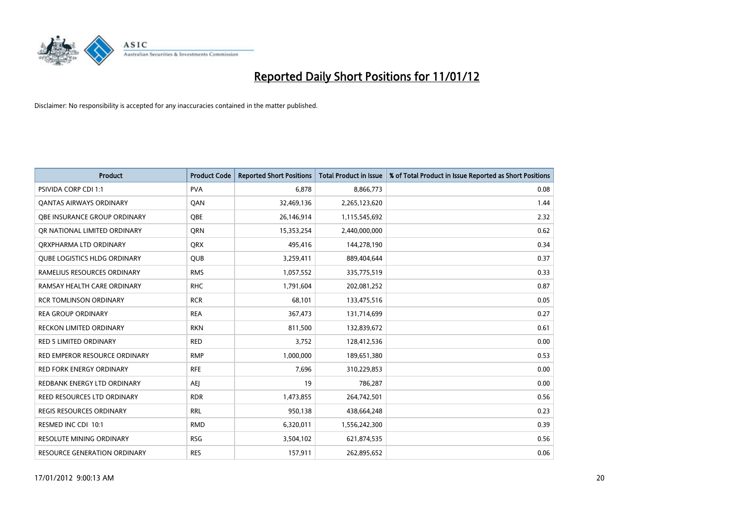

| <b>Product</b>                      | <b>Product Code</b> | <b>Reported Short Positions</b> | <b>Total Product in Issue</b> | % of Total Product in Issue Reported as Short Positions |
|-------------------------------------|---------------------|---------------------------------|-------------------------------|---------------------------------------------------------|
| <b>PSIVIDA CORP CDI 1:1</b>         | <b>PVA</b>          | 6,878                           | 8,866,773                     | 0.08                                                    |
| <b>QANTAS AIRWAYS ORDINARY</b>      | QAN                 | 32,469,136                      | 2,265,123,620                 | 1.44                                                    |
| OBE INSURANCE GROUP ORDINARY        | <b>OBE</b>          | 26,146,914                      | 1,115,545,692                 | 2.32                                                    |
| OR NATIONAL LIMITED ORDINARY        | <b>ORN</b>          | 15,353,254                      | 2,440,000,000                 | 0.62                                                    |
| ORXPHARMA LTD ORDINARY              | <b>QRX</b>          | 495,416                         | 144,278,190                   | 0.34                                                    |
| <b>OUBE LOGISTICS HLDG ORDINARY</b> | <b>QUB</b>          | 3,259,411                       | 889,404,644                   | 0.37                                                    |
| RAMELIUS RESOURCES ORDINARY         | <b>RMS</b>          | 1,057,552                       | 335,775,519                   | 0.33                                                    |
| RAMSAY HEALTH CARE ORDINARY         | <b>RHC</b>          | 1,791,604                       | 202,081,252                   | 0.87                                                    |
| <b>RCR TOMLINSON ORDINARY</b>       | <b>RCR</b>          | 68,101                          | 133,475,516                   | 0.05                                                    |
| <b>REA GROUP ORDINARY</b>           | <b>REA</b>          | 367,473                         | 131,714,699                   | 0.27                                                    |
| RECKON LIMITED ORDINARY             | <b>RKN</b>          | 811,500                         | 132,839,672                   | 0.61                                                    |
| <b>RED 5 LIMITED ORDINARY</b>       | <b>RED</b>          | 3,752                           | 128,412,536                   | 0.00                                                    |
| RED EMPEROR RESOURCE ORDINARY       | <b>RMP</b>          | 1,000,000                       | 189,651,380                   | 0.53                                                    |
| <b>RED FORK ENERGY ORDINARY</b>     | <b>RFE</b>          | 7,696                           | 310,229,853                   | 0.00                                                    |
| REDBANK ENERGY LTD ORDINARY         | AEI                 | 19                              | 786,287                       | 0.00                                                    |
| REED RESOURCES LTD ORDINARY         | <b>RDR</b>          | 1,473,855                       | 264,742,501                   | 0.56                                                    |
| REGIS RESOURCES ORDINARY            | <b>RRL</b>          | 950,138                         | 438,664,248                   | 0.23                                                    |
| RESMED INC CDI 10:1                 | <b>RMD</b>          | 6,320,011                       | 1,556,242,300                 | 0.39                                                    |
| <b>RESOLUTE MINING ORDINARY</b>     | <b>RSG</b>          | 3,504,102                       | 621,874,535                   | 0.56                                                    |
| RESOURCE GENERATION ORDINARY        | <b>RES</b>          | 157,911                         | 262,895,652                   | 0.06                                                    |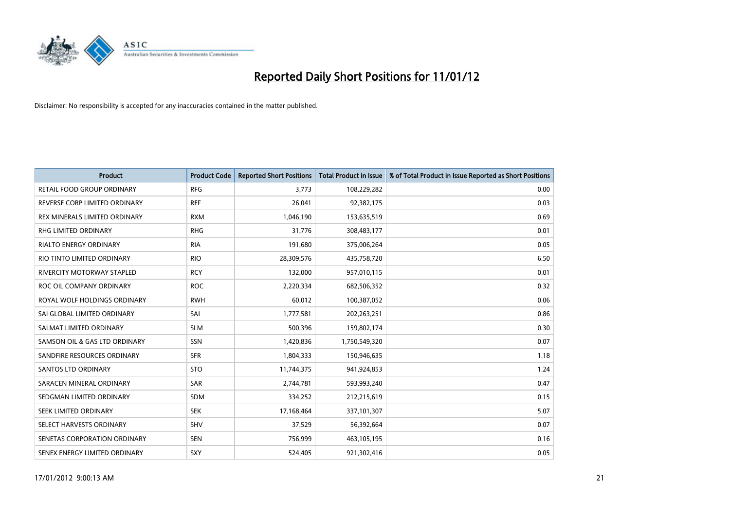

| <b>Product</b>                    | <b>Product Code</b> | <b>Reported Short Positions</b> | <b>Total Product in Issue</b> | % of Total Product in Issue Reported as Short Positions |
|-----------------------------------|---------------------|---------------------------------|-------------------------------|---------------------------------------------------------|
| RETAIL FOOD GROUP ORDINARY        | <b>RFG</b>          | 3,773                           | 108,229,282                   | 0.00                                                    |
| REVERSE CORP LIMITED ORDINARY     | <b>REF</b>          | 26,041                          | 92,382,175                    | 0.03                                                    |
| REX MINERALS LIMITED ORDINARY     | <b>RXM</b>          | 1,046,190                       | 153,635,519                   | 0.69                                                    |
| <b>RHG LIMITED ORDINARY</b>       | <b>RHG</b>          | 31,776                          | 308,483,177                   | 0.01                                                    |
| <b>RIALTO ENERGY ORDINARY</b>     | <b>RIA</b>          | 191,680                         | 375,006,264                   | 0.05                                                    |
| RIO TINTO LIMITED ORDINARY        | <b>RIO</b>          | 28,309,576                      | 435,758,720                   | 6.50                                                    |
| <b>RIVERCITY MOTORWAY STAPLED</b> | <b>RCY</b>          | 132,000                         | 957,010,115                   | 0.01                                                    |
| ROC OIL COMPANY ORDINARY          | <b>ROC</b>          | 2,220,334                       | 682,506,352                   | 0.32                                                    |
| ROYAL WOLF HOLDINGS ORDINARY      | <b>RWH</b>          | 60,012                          | 100,387,052                   | 0.06                                                    |
| SAI GLOBAL LIMITED ORDINARY       | SAI                 | 1,777,581                       | 202,263,251                   | 0.86                                                    |
| SALMAT LIMITED ORDINARY           | <b>SLM</b>          | 500,396                         | 159,802,174                   | 0.30                                                    |
| SAMSON OIL & GAS LTD ORDINARY     | SSN                 | 1,420,836                       | 1,750,549,320                 | 0.07                                                    |
| SANDFIRE RESOURCES ORDINARY       | <b>SFR</b>          | 1,804,333                       | 150,946,635                   | 1.18                                                    |
| <b>SANTOS LTD ORDINARY</b>        | <b>STO</b>          | 11,744,375                      | 941,924,853                   | 1.24                                                    |
| SARACEN MINERAL ORDINARY          | <b>SAR</b>          | 2,744,781                       | 593,993,240                   | 0.47                                                    |
| SEDGMAN LIMITED ORDINARY          | <b>SDM</b>          | 334,252                         | 212,215,619                   | 0.15                                                    |
| SEEK LIMITED ORDINARY             | <b>SEK</b>          | 17,168,464                      | 337,101,307                   | 5.07                                                    |
| SELECT HARVESTS ORDINARY          | SHV                 | 37,529                          | 56,392,664                    | 0.07                                                    |
| SENETAS CORPORATION ORDINARY      | <b>SEN</b>          | 756,999                         | 463,105,195                   | 0.16                                                    |
| SENEX ENERGY LIMITED ORDINARY     | <b>SXY</b>          | 524,405                         | 921,302,416                   | 0.05                                                    |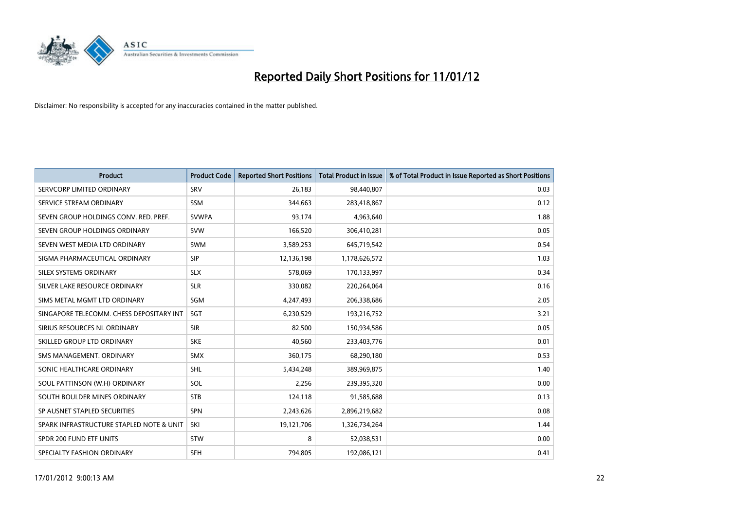

| <b>Product</b>                           | <b>Product Code</b> | <b>Reported Short Positions</b> | <b>Total Product in Issue</b> | % of Total Product in Issue Reported as Short Positions |
|------------------------------------------|---------------------|---------------------------------|-------------------------------|---------------------------------------------------------|
| SERVCORP LIMITED ORDINARY                | SRV                 | 26,183                          | 98,440,807                    | 0.03                                                    |
| SERVICE STREAM ORDINARY                  | <b>SSM</b>          | 344,663                         | 283,418,867                   | 0.12                                                    |
| SEVEN GROUP HOLDINGS CONV. RED. PREF.    | <b>SVWPA</b>        | 93,174                          | 4,963,640                     | 1.88                                                    |
| SEVEN GROUP HOLDINGS ORDINARY            | <b>SVW</b>          | 166,520                         | 306,410,281                   | 0.05                                                    |
| SEVEN WEST MEDIA LTD ORDINARY            | <b>SWM</b>          | 3,589,253                       | 645,719,542                   | 0.54                                                    |
| SIGMA PHARMACEUTICAL ORDINARY            | <b>SIP</b>          | 12,136,198                      | 1,178,626,572                 | 1.03                                                    |
| SILEX SYSTEMS ORDINARY                   | <b>SLX</b>          | 578.069                         | 170,133,997                   | 0.34                                                    |
| SILVER LAKE RESOURCE ORDINARY            | <b>SLR</b>          | 330,082                         | 220,264,064                   | 0.16                                                    |
| SIMS METAL MGMT LTD ORDINARY             | <b>SGM</b>          | 4,247,493                       | 206,338,686                   | 2.05                                                    |
| SINGAPORE TELECOMM. CHESS DEPOSITARY INT | SGT                 | 6,230,529                       | 193,216,752                   | 3.21                                                    |
| SIRIUS RESOURCES NL ORDINARY             | <b>SIR</b>          | 82,500                          | 150,934,586                   | 0.05                                                    |
| SKILLED GROUP LTD ORDINARY               | <b>SKE</b>          | 40,560                          | 233,403,776                   | 0.01                                                    |
| SMS MANAGEMENT, ORDINARY                 | <b>SMX</b>          | 360,175                         | 68,290,180                    | 0.53                                                    |
| SONIC HEALTHCARE ORDINARY                | <b>SHL</b>          | 5,434,248                       | 389,969,875                   | 1.40                                                    |
| SOUL PATTINSON (W.H) ORDINARY            | SOL                 | 2,256                           | 239,395,320                   | 0.00                                                    |
| SOUTH BOULDER MINES ORDINARY             | <b>STB</b>          | 124,118                         | 91,585,688                    | 0.13                                                    |
| SP AUSNET STAPLED SECURITIES             | <b>SPN</b>          | 2,243,626                       | 2,896,219,682                 | 0.08                                                    |
| SPARK INFRASTRUCTURE STAPLED NOTE & UNIT | <b>SKI</b>          | 19,121,706                      | 1,326,734,264                 | 1.44                                                    |
| SPDR 200 FUND ETF UNITS                  | <b>STW</b>          | 8                               | 52,038,531                    | 0.00                                                    |
| SPECIALTY FASHION ORDINARY               | <b>SFH</b>          | 794.805                         | 192,086,121                   | 0.41                                                    |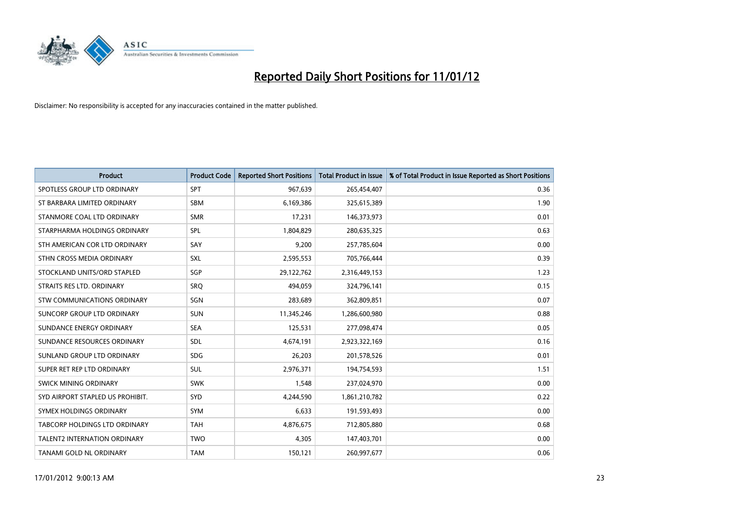

| <b>Product</b>                      | <b>Product Code</b> | <b>Reported Short Positions</b> | <b>Total Product in Issue</b> | % of Total Product in Issue Reported as Short Positions |
|-------------------------------------|---------------------|---------------------------------|-------------------------------|---------------------------------------------------------|
| SPOTLESS GROUP LTD ORDINARY         | <b>SPT</b>          | 967,639                         | 265,454,407                   | 0.36                                                    |
| ST BARBARA LIMITED ORDINARY         | <b>SBM</b>          | 6,169,386                       | 325,615,389                   | 1.90                                                    |
| STANMORE COAL LTD ORDINARY          | <b>SMR</b>          | 17,231                          | 146,373,973                   | 0.01                                                    |
| STARPHARMA HOLDINGS ORDINARY        | <b>SPL</b>          | 1,804,829                       | 280,635,325                   | 0.63                                                    |
| STH AMERICAN COR LTD ORDINARY       | SAY                 | 9,200                           | 257,785,604                   | 0.00                                                    |
| STHN CROSS MEDIA ORDINARY           | <b>SXL</b>          | 2,595,553                       | 705,766,444                   | 0.39                                                    |
| STOCKLAND UNITS/ORD STAPLED         | <b>SGP</b>          | 29,122,762                      | 2,316,449,153                 | 1.23                                                    |
| STRAITS RES LTD. ORDINARY           | SRQ                 | 494,059                         | 324,796,141                   | 0.15                                                    |
| <b>STW COMMUNICATIONS ORDINARY</b>  | SGN                 | 283,689                         | 362,809,851                   | 0.07                                                    |
| SUNCORP GROUP LTD ORDINARY          | <b>SUN</b>          | 11,345,246                      | 1,286,600,980                 | 0.88                                                    |
| SUNDANCE ENERGY ORDINARY            | <b>SEA</b>          | 125,531                         | 277,098,474                   | 0.05                                                    |
| SUNDANCE RESOURCES ORDINARY         | <b>SDL</b>          | 4,674,191                       | 2,923,322,169                 | 0.16                                                    |
| SUNLAND GROUP LTD ORDINARY          | <b>SDG</b>          | 26,203                          | 201,578,526                   | 0.01                                                    |
| SUPER RET REP LTD ORDINARY          | <b>SUL</b>          | 2,976,371                       | 194,754,593                   | 1.51                                                    |
| SWICK MINING ORDINARY               | <b>SWK</b>          | 1,548                           | 237,024,970                   | 0.00                                                    |
| SYD AIRPORT STAPLED US PROHIBIT.    | <b>SYD</b>          | 4,244,590                       | 1,861,210,782                 | 0.22                                                    |
| SYMEX HOLDINGS ORDINARY             | <b>SYM</b>          | 6,633                           | 191,593,493                   | 0.00                                                    |
| TABCORP HOLDINGS LTD ORDINARY       | <b>TAH</b>          | 4,876,675                       | 712,805,880                   | 0.68                                                    |
| <b>TALENT2 INTERNATION ORDINARY</b> | <b>TWO</b>          | 4,305                           | 147,403,701                   | 0.00                                                    |
| TANAMI GOLD NL ORDINARY             | <b>TAM</b>          | 150,121                         | 260,997,677                   | 0.06                                                    |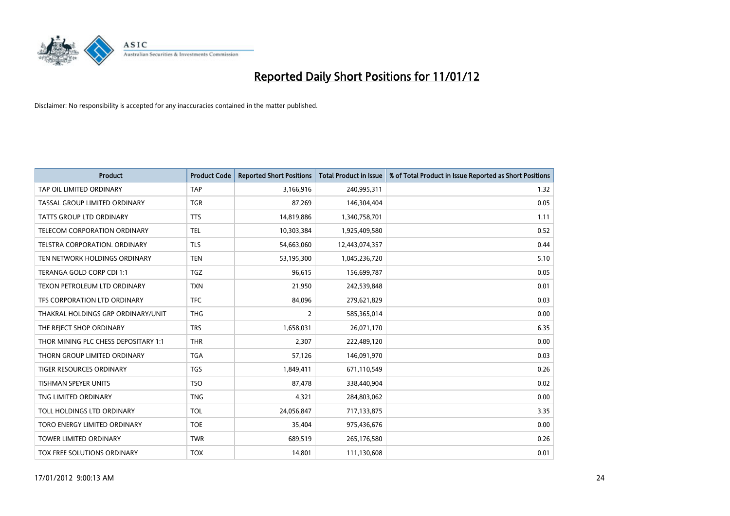

| <b>Product</b>                       | <b>Product Code</b> | <b>Reported Short Positions</b> | <b>Total Product in Issue</b> | % of Total Product in Issue Reported as Short Positions |
|--------------------------------------|---------------------|---------------------------------|-------------------------------|---------------------------------------------------------|
| TAP OIL LIMITED ORDINARY             | <b>TAP</b>          | 3,166,916                       | 240,995,311                   | 1.32                                                    |
| TASSAL GROUP LIMITED ORDINARY        | <b>TGR</b>          | 87,269                          | 146,304,404                   | 0.05                                                    |
| <b>TATTS GROUP LTD ORDINARY</b>      | <b>TTS</b>          | 14,819,886                      | 1,340,758,701                 | 1.11                                                    |
| TELECOM CORPORATION ORDINARY         | <b>TEL</b>          | 10,303,384                      | 1,925,409,580                 | 0.52                                                    |
| <b>TELSTRA CORPORATION, ORDINARY</b> | <b>TLS</b>          | 54,663,060                      | 12,443,074,357                | 0.44                                                    |
| TEN NETWORK HOLDINGS ORDINARY        | <b>TEN</b>          | 53,195,300                      | 1,045,236,720                 | 5.10                                                    |
| TERANGA GOLD CORP CDI 1:1            | <b>TGZ</b>          | 96.615                          | 156,699,787                   | 0.05                                                    |
| TEXON PETROLEUM LTD ORDINARY         | <b>TXN</b>          | 21,950                          | 242,539,848                   | 0.01                                                    |
| TFS CORPORATION LTD ORDINARY         | <b>TFC</b>          | 84,096                          | 279,621,829                   | 0.03                                                    |
| THAKRAL HOLDINGS GRP ORDINARY/UNIT   | <b>THG</b>          | 2                               | 585,365,014                   | 0.00                                                    |
| THE REJECT SHOP ORDINARY             | <b>TRS</b>          | 1,658,031                       | 26,071,170                    | 6.35                                                    |
| THOR MINING PLC CHESS DEPOSITARY 1:1 | <b>THR</b>          | 2,307                           | 222,489,120                   | 0.00                                                    |
| THORN GROUP LIMITED ORDINARY         | <b>TGA</b>          | 57.126                          | 146,091,970                   | 0.03                                                    |
| <b>TIGER RESOURCES ORDINARY</b>      | <b>TGS</b>          | 1,849,411                       | 671,110,549                   | 0.26                                                    |
| <b>TISHMAN SPEYER UNITS</b>          | <b>TSO</b>          | 87,478                          | 338,440,904                   | 0.02                                                    |
| TNG LIMITED ORDINARY                 | <b>TNG</b>          | 4,321                           | 284,803,062                   | 0.00                                                    |
| TOLL HOLDINGS LTD ORDINARY           | <b>TOL</b>          | 24,056,847                      | 717,133,875                   | 3.35                                                    |
| TORO ENERGY LIMITED ORDINARY         | <b>TOE</b>          | 35,404                          | 975,436,676                   | 0.00                                                    |
| <b>TOWER LIMITED ORDINARY</b>        | <b>TWR</b>          | 689,519                         | 265,176,580                   | 0.26                                                    |
| TOX FREE SOLUTIONS ORDINARY          | <b>TOX</b>          | 14,801                          | 111,130,608                   | 0.01                                                    |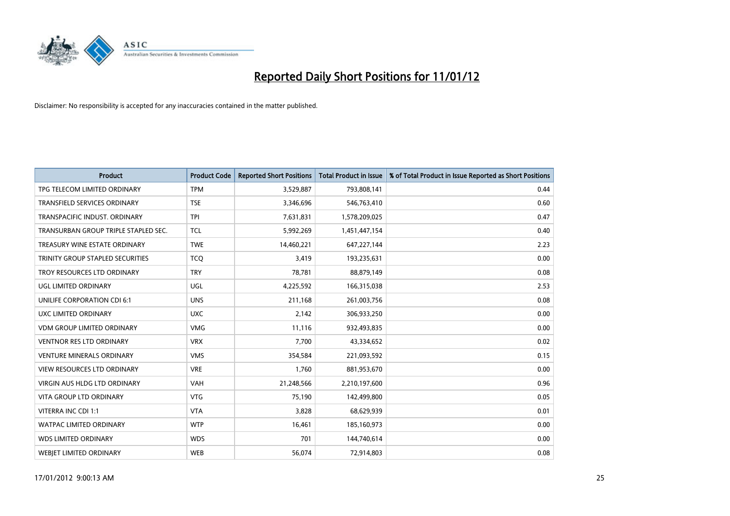

| <b>Product</b>                       | <b>Product Code</b> | <b>Reported Short Positions</b> | <b>Total Product in Issue</b> | % of Total Product in Issue Reported as Short Positions |
|--------------------------------------|---------------------|---------------------------------|-------------------------------|---------------------------------------------------------|
| TPG TELECOM LIMITED ORDINARY         | <b>TPM</b>          | 3,529,887                       | 793,808,141                   | 0.44                                                    |
| TRANSFIELD SERVICES ORDINARY         | <b>TSE</b>          | 3,346,696                       | 546,763,410                   | 0.60                                                    |
| TRANSPACIFIC INDUST, ORDINARY        | <b>TPI</b>          | 7,631,831                       | 1,578,209,025                 | 0.47                                                    |
| TRANSURBAN GROUP TRIPLE STAPLED SEC. | <b>TCL</b>          | 5,992,269                       | 1,451,447,154                 | 0.40                                                    |
| TREASURY WINE ESTATE ORDINARY        | <b>TWE</b>          | 14,460,221                      | 647, 227, 144                 | 2.23                                                    |
| TRINITY GROUP STAPLED SECURITIES     | <b>TCQ</b>          | 3,419                           | 193,235,631                   | 0.00                                                    |
| TROY RESOURCES LTD ORDINARY          | <b>TRY</b>          | 78,781                          | 88,879,149                    | 0.08                                                    |
| UGL LIMITED ORDINARY                 | UGL                 | 4,225,592                       | 166,315,038                   | 2.53                                                    |
| UNILIFE CORPORATION CDI 6:1          | <b>UNS</b>          | 211,168                         | 261,003,756                   | 0.08                                                    |
| UXC LIMITED ORDINARY                 | <b>UXC</b>          | 2,142                           | 306,933,250                   | 0.00                                                    |
| <b>VDM GROUP LIMITED ORDINARY</b>    | <b>VMG</b>          | 11,116                          | 932,493,835                   | 0.00                                                    |
| <b>VENTNOR RES LTD ORDINARY</b>      | <b>VRX</b>          | 7,700                           | 43,334,652                    | 0.02                                                    |
| <b>VENTURE MINERALS ORDINARY</b>     | <b>VMS</b>          | 354,584                         | 221,093,592                   | 0.15                                                    |
| <b>VIEW RESOURCES LTD ORDINARY</b>   | <b>VRE</b>          | 1,760                           | 881,953,670                   | 0.00                                                    |
| <b>VIRGIN AUS HLDG LTD ORDINARY</b>  | <b>VAH</b>          | 21,248,566                      | 2,210,197,600                 | 0.96                                                    |
| <b>VITA GROUP LTD ORDINARY</b>       | <b>VTG</b>          | 75,190                          | 142,499,800                   | 0.05                                                    |
| VITERRA INC CDI 1:1                  | <b>VTA</b>          | 3,828                           | 68,629,939                    | 0.01                                                    |
| <b>WATPAC LIMITED ORDINARY</b>       | <b>WTP</b>          | 16,461                          | 185,160,973                   | 0.00                                                    |
| <b>WDS LIMITED ORDINARY</b>          | <b>WDS</b>          | 701                             | 144,740,614                   | 0.00                                                    |
| WEBJET LIMITED ORDINARY              | <b>WEB</b>          | 56,074                          | 72,914,803                    | 0.08                                                    |